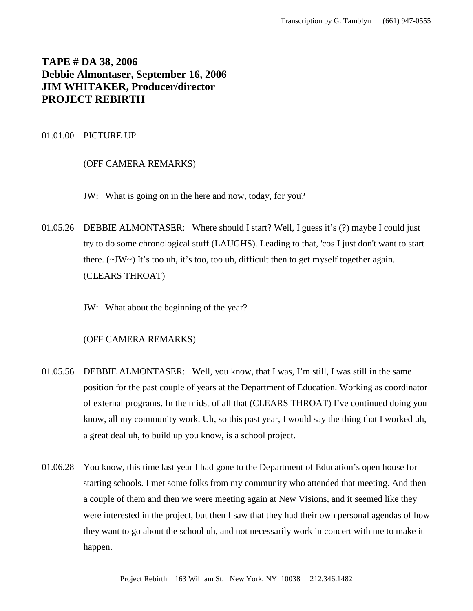# **TAPE # DA 38, 2006 Debbie Almontaser, September 16, 2006 JIM WHITAKER, Producer/director PROJECT REBIRTH**

## 01.01.00 PICTURE UP

## (OFF CAMERA REMARKS)

JW: What is going on in the here and now, today, for you?

01.05.26 DEBBIE ALMONTASER: Where should I start? Well, I guess it's (?) maybe I could just try to do some chronological stuff (LAUGHS). Leading to that, 'cos I just don't want to start there.  $(\sim JW \sim)$  It's too uh, it's too, too uh, difficult then to get myself together again. (CLEARS THROAT)

JW: What about the beginning of the year?

- 01.05.56 DEBBIE ALMONTASER: Well, you know, that I was, I'm still, I was still in the same position for the past couple of years at the Department of Education. Working as coordinator of external programs. In the midst of all that (CLEARS THROAT) I've continued doing you know, all my community work. Uh, so this past year, I would say the thing that I worked uh, a great deal uh, to build up you know, is a school project.
- 01.06.28 You know, this time last year I had gone to the Department of Education's open house for starting schools. I met some folks from my community who attended that meeting. And then a couple of them and then we were meeting again at New Visions, and it seemed like they were interested in the project, but then I saw that they had their own personal agendas of how they want to go about the school uh, and not necessarily work in concert with me to make it happen.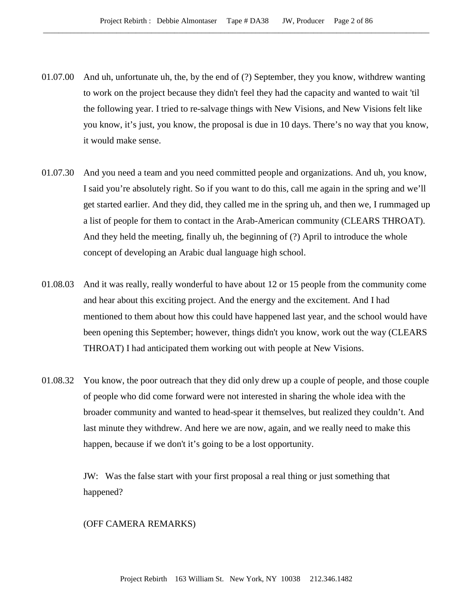- 01.07.00 And uh, unfortunate uh, the, by the end of (?) September, they you know, withdrew wanting to work on the project because they didn't feel they had the capacity and wanted to wait 'til the following year. I tried to re-salvage things with New Visions, and New Visions felt like you know, it's just, you know, the proposal is due in 10 days. There's no way that you know, it would make sense.
- 01.07.30 And you need a team and you need committed people and organizations. And uh, you know, I said you're absolutely right. So if you want to do this, call me again in the spring and we'll get started earlier. And they did, they called me in the spring uh, and then we, I rummaged up a list of people for them to contact in the Arab-American community (CLEARS THROAT). And they held the meeting, finally uh, the beginning of (?) April to introduce the whole concept of developing an Arabic dual language high school.
- 01.08.03 And it was really, really wonderful to have about 12 or 15 people from the community come and hear about this exciting project. And the energy and the excitement. And I had mentioned to them about how this could have happened last year, and the school would have been opening this September; however, things didn't you know, work out the way (CLEARS THROAT) I had anticipated them working out with people at New Visions.
- 01.08.32 You know, the poor outreach that they did only drew up a couple of people, and those couple of people who did come forward were not interested in sharing the whole idea with the broader community and wanted to head-spear it themselves, but realized they couldn't. And last minute they withdrew. And here we are now, again, and we really need to make this happen, because if we don't it's going to be a lost opportunity.

JW: Was the false start with your first proposal a real thing or just something that happened?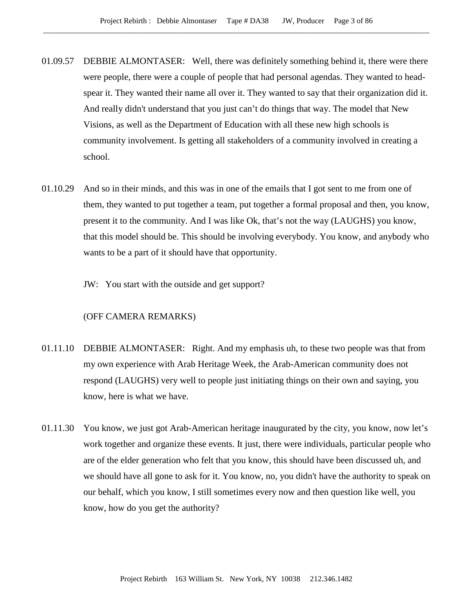- 01.09.57 DEBBIE ALMONTASER: Well, there was definitely something behind it, there were there were people, there were a couple of people that had personal agendas. They wanted to headspear it. They wanted their name all over it. They wanted to say that their organization did it. And really didn't understand that you just can't do things that way. The model that New Visions, as well as the Department of Education with all these new high schools is community involvement. Is getting all stakeholders of a community involved in creating a school.
- 01.10.29 And so in their minds, and this was in one of the emails that I got sent to me from one of them, they wanted to put together a team, put together a formal proposal and then, you know, present it to the community. And I was like Ok, that's not the way (LAUGHS) you know, that this model should be. This should be involving everybody. You know, and anybody who wants to be a part of it should have that opportunity.
	- JW: You start with the outside and get support?

- 01.11.10 DEBBIE ALMONTASER: Right. And my emphasis uh, to these two people was that from my own experience with Arab Heritage Week, the Arab-American community does not respond (LAUGHS) very well to people just initiating things on their own and saying, you know, here is what we have.
- 01.11.30 You know, we just got Arab-American heritage inaugurated by the city, you know, now let's work together and organize these events. It just, there were individuals, particular people who are of the elder generation who felt that you know, this should have been discussed uh, and we should have all gone to ask for it. You know, no, you didn't have the authority to speak on our behalf, which you know, I still sometimes every now and then question like well, you know, how do you get the authority?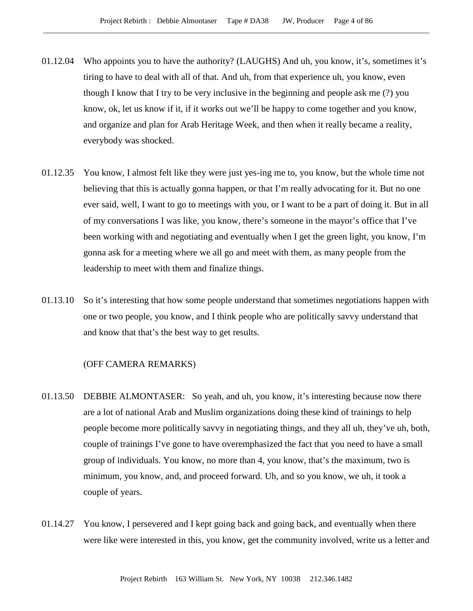- 01.12.04 Who appoints you to have the authority? (LAUGHS) And uh, you know, it's, sometimes it's tiring to have to deal with all of that. And uh, from that experience uh, you know, even though I know that I try to be very inclusive in the beginning and people ask me (?) you know, ok, let us know if it, if it works out we'll be happy to come together and you know, and organize and plan for Arab Heritage Week, and then when it really became a reality, everybody was shocked.
- 01.12.35 You know, I almost felt like they were just yes-ing me to, you know, but the whole time not believing that this is actually gonna happen, or that I'm really advocating for it. But no one ever said, well, I want to go to meetings with you, or I want to be a part of doing it. But in all of my conversations I was like, you know, there's someone in the mayor's office that I've been working with and negotiating and eventually when I get the green light, you know, I'm gonna ask for a meeting where we all go and meet with them, as many people from the leadership to meet with them and finalize things.
- 01.13.10 So it's interesting that how some people understand that sometimes negotiations happen with one or two people, you know, and I think people who are politically savvy understand that and know that that's the best way to get results.

- 01.13.50 DEBBIE ALMONTASER: So yeah, and uh, you know, it's interesting because now there are a lot of national Arab and Muslim organizations doing these kind of trainings to help people become more politically savvy in negotiating things, and they all uh, they've uh, both, couple of trainings I've gone to have overemphasized the fact that you need to have a small group of individuals. You know, no more than 4, you know, that's the maximum, two is minimum, you know, and, and proceed forward. Uh, and so you know, we uh, it took a couple of years.
- 01.14.27 You know, I persevered and I kept going back and going back, and eventually when there were like were interested in this, you know, get the community involved, write us a letter and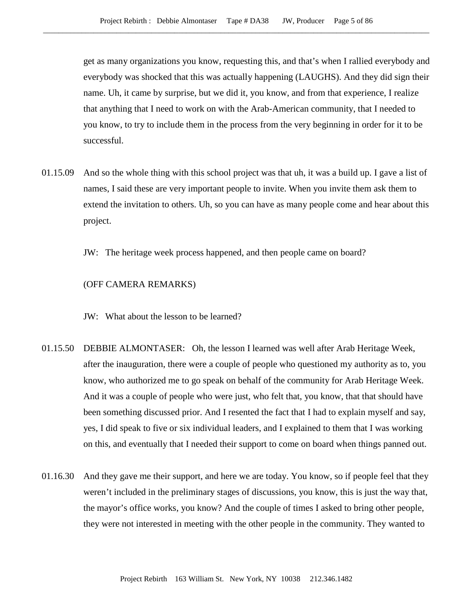get as many organizations you know, requesting this, and that's when I rallied everybody and everybody was shocked that this was actually happening (LAUGHS). And they did sign their name. Uh, it came by surprise, but we did it, you know, and from that experience, I realize that anything that I need to work on with the Arab-American community, that I needed to you know, to try to include them in the process from the very beginning in order for it to be successful.

01.15.09 And so the whole thing with this school project was that uh, it was a build up. I gave a list of names, I said these are very important people to invite. When you invite them ask them to extend the invitation to others. Uh, so you can have as many people come and hear about this project.

JW: The heritage week process happened, and then people came on board?

### (OFF CAMERA REMARKS)

JW: What about the lesson to be learned?

- 01.15.50 DEBBIE ALMONTASER: Oh, the lesson I learned was well after Arab Heritage Week, after the inauguration, there were a couple of people who questioned my authority as to, you know, who authorized me to go speak on behalf of the community for Arab Heritage Week. And it was a couple of people who were just, who felt that, you know, that that should have been something discussed prior. And I resented the fact that I had to explain myself and say, yes, I did speak to five or six individual leaders, and I explained to them that I was working on this, and eventually that I needed their support to come on board when things panned out.
- 01.16.30 And they gave me their support, and here we are today. You know, so if people feel that they weren't included in the preliminary stages of discussions, you know, this is just the way that, the mayor's office works, you know? And the couple of times I asked to bring other people, they were not interested in meeting with the other people in the community. They wanted to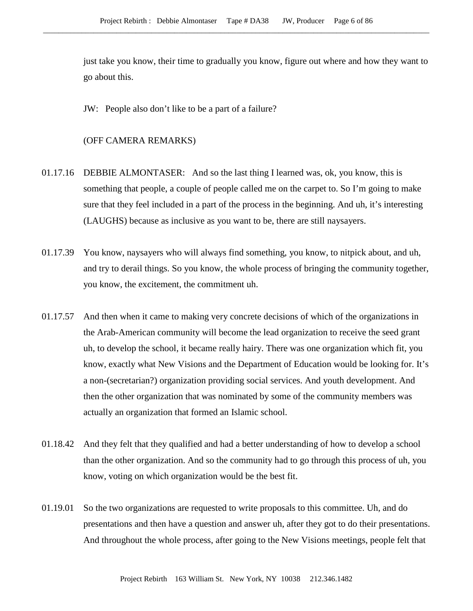just take you know, their time to gradually you know, figure out where and how they want to go about this.

JW: People also don't like to be a part of a failure?

- 01.17.16 DEBBIE ALMONTASER: And so the last thing I learned was, ok, you know, this is something that people, a couple of people called me on the carpet to. So I'm going to make sure that they feel included in a part of the process in the beginning. And uh, it's interesting (LAUGHS) because as inclusive as you want to be, there are still naysayers.
- 01.17.39 You know, naysayers who will always find something, you know, to nitpick about, and uh, and try to derail things. So you know, the whole process of bringing the community together, you know, the excitement, the commitment uh.
- 01.17.57 And then when it came to making very concrete decisions of which of the organizations in the Arab-American community will become the lead organization to receive the seed grant uh, to develop the school, it became really hairy. There was one organization which fit, you know, exactly what New Visions and the Department of Education would be looking for. It's a non-(secretarian?) organization providing social services. And youth development. And then the other organization that was nominated by some of the community members was actually an organization that formed an Islamic school.
- 01.18.42 And they felt that they qualified and had a better understanding of how to develop a school than the other organization. And so the community had to go through this process of uh, you know, voting on which organization would be the best fit.
- 01.19.01 So the two organizations are requested to write proposals to this committee. Uh, and do presentations and then have a question and answer uh, after they got to do their presentations. And throughout the whole process, after going to the New Visions meetings, people felt that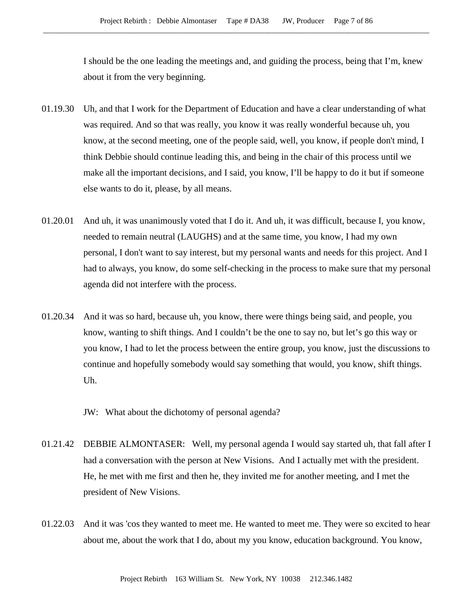I should be the one leading the meetings and, and guiding the process, being that I'm, knew about it from the very beginning.

- 01.19.30 Uh, and that I work for the Department of Education and have a clear understanding of what was required. And so that was really, you know it was really wonderful because uh, you know, at the second meeting, one of the people said, well, you know, if people don't mind, I think Debbie should continue leading this, and being in the chair of this process until we make all the important decisions, and I said, you know, I'll be happy to do it but if someone else wants to do it, please, by all means.
- 01.20.01 And uh, it was unanimously voted that I do it. And uh, it was difficult, because I, you know, needed to remain neutral (LAUGHS) and at the same time, you know, I had my own personal, I don't want to say interest, but my personal wants and needs for this project. And I had to always, you know, do some self-checking in the process to make sure that my personal agenda did not interfere with the process.
- 01.20.34 And it was so hard, because uh, you know, there were things being said, and people, you know, wanting to shift things. And I couldn't be the one to say no, but let's go this way or you know, I had to let the process between the entire group, you know, just the discussions to continue and hopefully somebody would say something that would, you know, shift things. Uh.

JW: What about the dichotomy of personal agenda?

- 01.21.42 DEBBIE ALMONTASER: Well, my personal agenda I would say started uh, that fall after I had a conversation with the person at New Visions. And I actually met with the president. He, he met with me first and then he, they invited me for another meeting, and I met the president of New Visions.
- 01.22.03 And it was 'cos they wanted to meet me. He wanted to meet me. They were so excited to hear about me, about the work that I do, about my you know, education background. You know,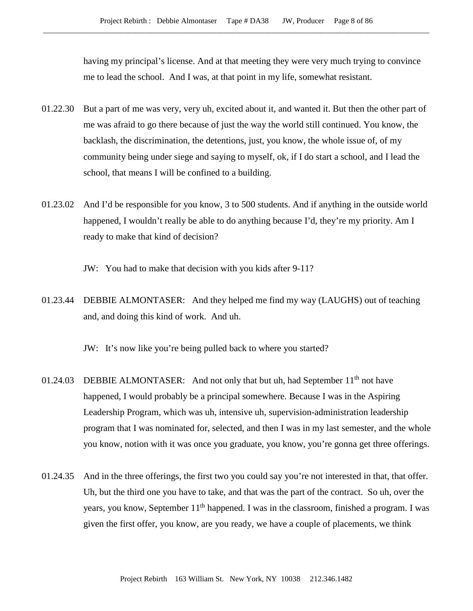having my principal's license. And at that meeting they were very much trying to convince me to lead the school. And I was, at that point in my life, somewhat resistant.

- 01.22.30 But a part of me was very, very uh, excited about it, and wanted it. But then the other part of me was afraid to go there because of just the way the world still continued. You know, the backlash, the discrimination, the detentions, just, you know, the whole issue of, of my community being under siege and saying to myself, ok, if I do start a school, and I lead the school, that means I will be confined to a building.
- 01.23.02 And I'd be responsible for you know, 3 to 500 students. And if anything in the outside world happened, I wouldn't really be able to do anything because I'd, they're my priority. Am I ready to make that kind of decision?
	- JW: You had to make that decision with you kids after 9-11?
- 01.23.44 DEBBIE ALMONTASER: And they helped me find my way (LAUGHS) out of teaching and, and doing this kind of work. And uh.

JW: It's now like you're being pulled back to where you started?

- 01.24.03 DEBBIE ALMONTASER: And not only that but uh, had September 11<sup>th</sup> not have happened, I would probably be a principal somewhere. Because I was in the Aspiring Leadership Program, which was uh, intensive uh, supervision-administration leadership program that I was nominated for, selected, and then I was in my last semester, and the whole you know, notion with it was once you graduate, you know, you're gonna get three offerings.
- 01.24.35 And in the three offerings, the first two you could say you're not interested in that, that offer. Uh, but the third one you have to take, and that was the part of the contract. So uh, over the years, you know, September  $11<sup>th</sup>$  happened. I was in the classroom, finished a program. I was given the first offer, you know, are you ready, we have a couple of placements, we think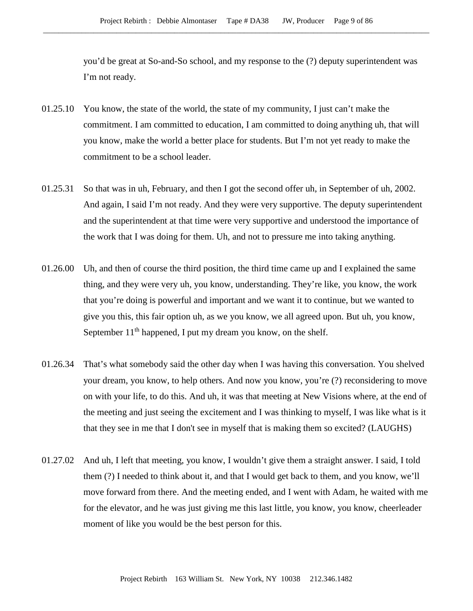you'd be great at So-and-So school, and my response to the (?) deputy superintendent was I'm not ready.

- 01.25.10 You know, the state of the world, the state of my community, I just can't make the commitment. I am committed to education, I am committed to doing anything uh, that will you know, make the world a better place for students. But I'm not yet ready to make the commitment to be a school leader.
- 01.25.31 So that was in uh, February, and then I got the second offer uh, in September of uh, 2002. And again, I said I'm not ready. And they were very supportive. The deputy superintendent and the superintendent at that time were very supportive and understood the importance of the work that I was doing for them. Uh, and not to pressure me into taking anything.
- 01.26.00 Uh, and then of course the third position, the third time came up and I explained the same thing, and they were very uh, you know, understanding. They're like, you know, the work that you're doing is powerful and important and we want it to continue, but we wanted to give you this, this fair option uh, as we you know, we all agreed upon. But uh, you know, September  $11<sup>th</sup>$  happened, I put my dream you know, on the shelf.
- 01.26.34 That's what somebody said the other day when I was having this conversation. You shelved your dream, you know, to help others. And now you know, you're (?) reconsidering to move on with your life, to do this. And uh, it was that meeting at New Visions where, at the end of the meeting and just seeing the excitement and I was thinking to myself, I was like what is it that they see in me that I don't see in myself that is making them so excited? (LAUGHS)
- 01.27.02 And uh, I left that meeting, you know, I wouldn't give them a straight answer. I said, I told them (?) I needed to think about it, and that I would get back to them, and you know, we'll move forward from there. And the meeting ended, and I went with Adam, he waited with me for the elevator, and he was just giving me this last little, you know, you know, cheerleader moment of like you would be the best person for this.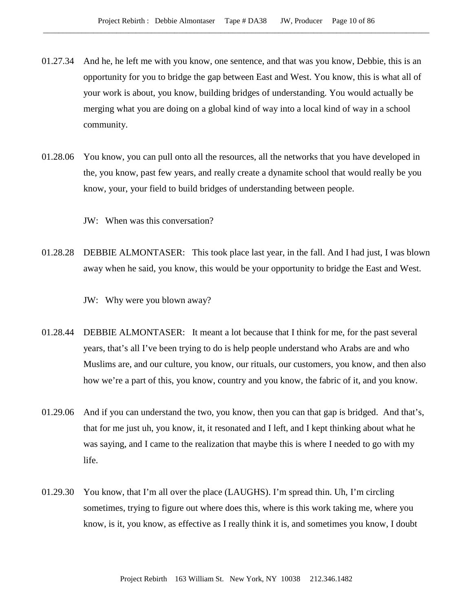- 01.27.34 And he, he left me with you know, one sentence, and that was you know, Debbie, this is an opportunity for you to bridge the gap between East and West. You know, this is what all of your work is about, you know, building bridges of understanding. You would actually be merging what you are doing on a global kind of way into a local kind of way in a school community.
- 01.28.06 You know, you can pull onto all the resources, all the networks that you have developed in the, you know, past few years, and really create a dynamite school that would really be you know, your, your field to build bridges of understanding between people.

JW: When was this conversation?

01.28.28 DEBBIE ALMONTASER: This took place last year, in the fall. And I had just, I was blown away when he said, you know, this would be your opportunity to bridge the East and West.

JW: Why were you blown away?

- 01.28.44 DEBBIE ALMONTASER: It meant a lot because that I think for me, for the past several years, that's all I've been trying to do is help people understand who Arabs are and who Muslims are, and our culture, you know, our rituals, our customers, you know, and then also how we're a part of this, you know, country and you know, the fabric of it, and you know.
- 01.29.06 And if you can understand the two, you know, then you can that gap is bridged. And that's, that for me just uh, you know, it, it resonated and I left, and I kept thinking about what he was saying, and I came to the realization that maybe this is where I needed to go with my life.
- 01.29.30 You know, that I'm all over the place (LAUGHS). I'm spread thin. Uh, I'm circling sometimes, trying to figure out where does this, where is this work taking me, where you know, is it, you know, as effective as I really think it is, and sometimes you know, I doubt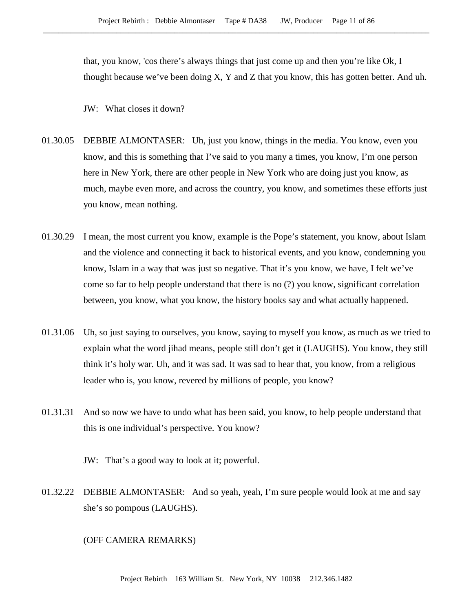that, you know, 'cos there's always things that just come up and then you're like Ok, I thought because we've been doing  $X$ , Y and Z that you know, this has gotten better. And uh.

JW: What closes it down?

- 01.30.05 DEBBIE ALMONTASER: Uh, just you know, things in the media. You know, even you know, and this is something that I've said to you many a times, you know, I'm one person here in New York, there are other people in New York who are doing just you know, as much, maybe even more, and across the country, you know, and sometimes these efforts just you know, mean nothing.
- 01.30.29 I mean, the most current you know, example is the Pope's statement, you know, about Islam and the violence and connecting it back to historical events, and you know, condemning you know, Islam in a way that was just so negative. That it's you know, we have, I felt we've come so far to help people understand that there is no (?) you know, significant correlation between, you know, what you know, the history books say and what actually happened.
- 01.31.06 Uh, so just saying to ourselves, you know, saying to myself you know, as much as we tried to explain what the word jihad means, people still don't get it (LAUGHS). You know, they still think it's holy war. Uh, and it was sad. It was sad to hear that, you know, from a religious leader who is, you know, revered by millions of people, you know?
- 01.31.31 And so now we have to undo what has been said, you know, to help people understand that this is one individual's perspective. You know?

JW: That's a good way to look at it; powerful.

01.32.22 DEBBIE ALMONTASER: And so yeah, yeah, I'm sure people would look at me and say she's so pompous (LAUGHS).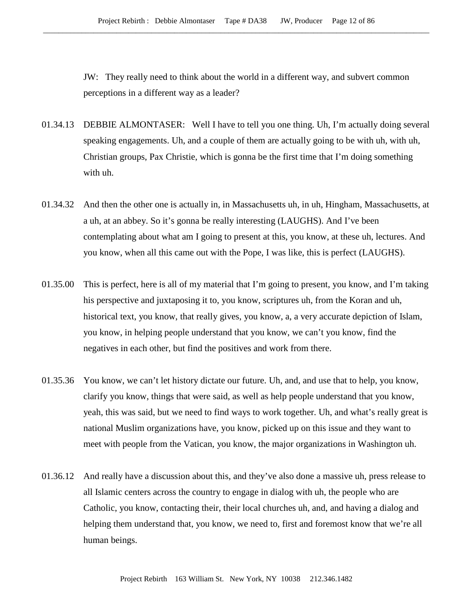JW: They really need to think about the world in a different way, and subvert common perceptions in a different way as a leader?

- 01.34.13 DEBBIE ALMONTASER: Well I have to tell you one thing. Uh, I'm actually doing several speaking engagements. Uh, and a couple of them are actually going to be with uh, with uh, Christian groups, Pax Christie, which is gonna be the first time that I'm doing something with uh.
- 01.34.32 And then the other one is actually in, in Massachusetts uh, in uh, Hingham, Massachusetts, at a uh, at an abbey. So it's gonna be really interesting (LAUGHS). And I've been contemplating about what am I going to present at this, you know, at these uh, lectures. And you know, when all this came out with the Pope, I was like, this is perfect (LAUGHS).
- 01.35.00 This is perfect, here is all of my material that I'm going to present, you know, and I'm taking his perspective and juxtaposing it to, you know, scriptures uh, from the Koran and uh, historical text, you know, that really gives, you know, a, a very accurate depiction of Islam, you know, in helping people understand that you know, we can't you know, find the negatives in each other, but find the positives and work from there.
- 01.35.36 You know, we can't let history dictate our future. Uh, and, and use that to help, you know, clarify you know, things that were said, as well as help people understand that you know, yeah, this was said, but we need to find ways to work together. Uh, and what's really great is national Muslim organizations have, you know, picked up on this issue and they want to meet with people from the Vatican, you know, the major organizations in Washington uh.
- 01.36.12 And really have a discussion about this, and they've also done a massive uh, press release to all Islamic centers across the country to engage in dialog with uh, the people who are Catholic, you know, contacting their, their local churches uh, and, and having a dialog and helping them understand that, you know, we need to, first and foremost know that we're all human beings.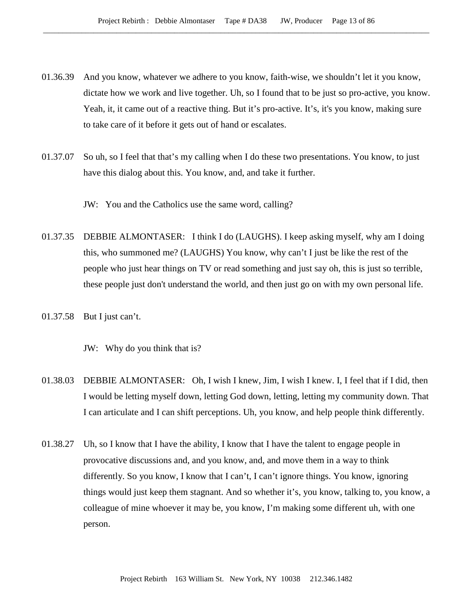- 01.36.39 And you know, whatever we adhere to you know, faith-wise, we shouldn't let it you know, dictate how we work and live together. Uh, so I found that to be just so pro-active, you know. Yeah, it, it came out of a reactive thing. But it's pro-active. It's, it's you know, making sure to take care of it before it gets out of hand or escalates.
- 01.37.07 So uh, so I feel that that's my calling when I do these two presentations. You know, to just have this dialog about this. You know, and, and take it further.

JW: You and the Catholics use the same word, calling?

- 01.37.35 DEBBIE ALMONTASER: I think I do (LAUGHS). I keep asking myself, why am I doing this, who summoned me? (LAUGHS) You know, why can't I just be like the rest of the people who just hear things on TV or read something and just say oh, this is just so terrible, these people just don't understand the world, and then just go on with my own personal life.
- 01.37.58 But I just can't.

JW: Why do you think that is?

- 01.38.03 DEBBIE ALMONTASER: Oh, I wish I knew, Jim, I wish I knew. I, I feel that if I did, then I would be letting myself down, letting God down, letting, letting my community down. That I can articulate and I can shift perceptions. Uh, you know, and help people think differently.
- 01.38.27 Uh, so I know that I have the ability, I know that I have the talent to engage people in provocative discussions and, and you know, and, and move them in a way to think differently. So you know, I know that I can't, I can't ignore things. You know, ignoring things would just keep them stagnant. And so whether it's, you know, talking to, you know, a colleague of mine whoever it may be, you know, I'm making some different uh, with one person.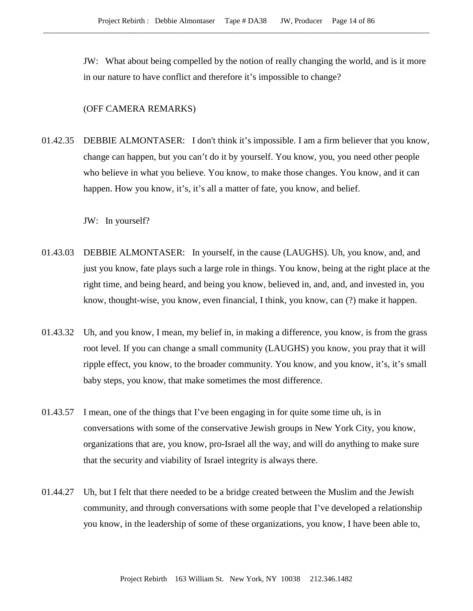JW: What about being compelled by the notion of really changing the world, and is it more in our nature to have conflict and therefore it's impossible to change?

### (OFF CAMERA REMARKS)

01.42.35 DEBBIE ALMONTASER: I don't think it's impossible. I am a firm believer that you know, change can happen, but you can't do it by yourself. You know, you, you need other people who believe in what you believe. You know, to make those changes. You know, and it can happen. How you know, it's, it's all a matter of fate, you know, and belief.

JW: In yourself?

- 01.43.03 DEBBIE ALMONTASER: In yourself, in the cause (LAUGHS). Uh, you know, and, and just you know, fate plays such a large role in things. You know, being at the right place at the right time, and being heard, and being you know, believed in, and, and, and invested in, you know, thought-wise, you know, even financial, I think, you know, can (?) make it happen.
- 01.43.32 Uh, and you know, I mean, my belief in, in making a difference, you know, is from the grass root level. If you can change a small community (LAUGHS) you know, you pray that it will ripple effect, you know, to the broader community. You know, and you know, it's, it's small baby steps, you know, that make sometimes the most difference.
- 01.43.57 I mean, one of the things that I've been engaging in for quite some time uh, is in conversations with some of the conservative Jewish groups in New York City, you know, organizations that are, you know, pro-Israel all the way, and will do anything to make sure that the security and viability of Israel integrity is always there.
- 01.44.27 Uh, but I felt that there needed to be a bridge created between the Muslim and the Jewish community, and through conversations with some people that I've developed a relationship you know, in the leadership of some of these organizations, you know, I have been able to,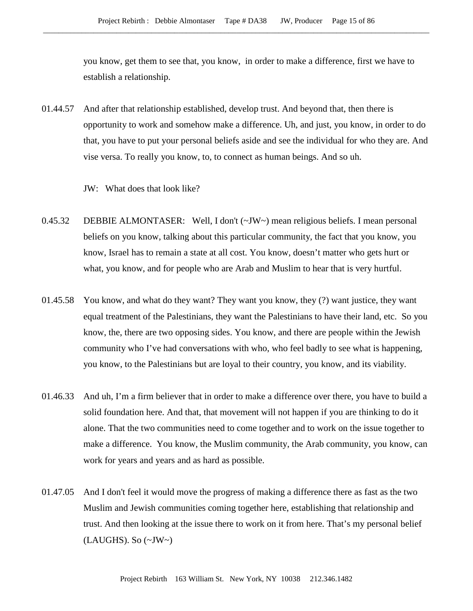you know, get them to see that, you know, in order to make a difference, first we have to establish a relationship.

01.44.57 And after that relationship established, develop trust. And beyond that, then there is opportunity to work and somehow make a difference. Uh, and just, you know, in order to do that, you have to put your personal beliefs aside and see the individual for who they are. And vise versa. To really you know, to, to connect as human beings. And so uh.

JW: What does that look like?

- 0.45.32 DEBBIE ALMONTASER: Well, I don't (~JW~) mean religious beliefs. I mean personal beliefs on you know, talking about this particular community, the fact that you know, you know, Israel has to remain a state at all cost. You know, doesn't matter who gets hurt or what, you know, and for people who are Arab and Muslim to hear that is very hurtful.
- 01.45.58 You know, and what do they want? They want you know, they (?) want justice, they want equal treatment of the Palestinians, they want the Palestinians to have their land, etc. So you know, the, there are two opposing sides. You know, and there are people within the Jewish community who I've had conversations with who, who feel badly to see what is happening, you know, to the Palestinians but are loyal to their country, you know, and its viability.
- 01.46.33 And uh, I'm a firm believer that in order to make a difference over there, you have to build a solid foundation here. And that, that movement will not happen if you are thinking to do it alone. That the two communities need to come together and to work on the issue together to make a difference. You know, the Muslim community, the Arab community, you know, can work for years and years and as hard as possible.
- 01.47.05 And I don't feel it would move the progress of making a difference there as fast as the two Muslim and Jewish communities coming together here, establishing that relationship and trust. And then looking at the issue there to work on it from here. That's my personal belief (LAUGHS). So (~JW~)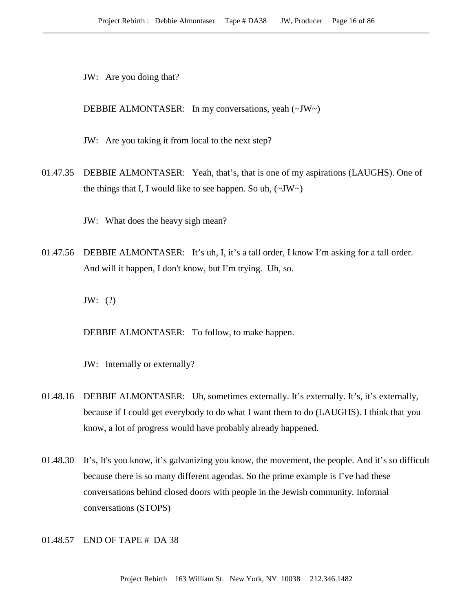JW: Are you doing that?

DEBBIE ALMONTASER: In my conversations, yeah (~JW~)

JW: Are you taking it from local to the next step?

01.47.35 DEBBIE ALMONTASER: Yeah, that's, that is one of my aspirations (LAUGHS). One of the things that I, I would like to see happen. So uh,  $(\sim JW)$ 

JW: What does the heavy sigh mean?

01.47.56 DEBBIE ALMONTASER: It's uh, I, it's a tall order, I know I'm asking for a tall order. And will it happen, I don't know, but I'm trying. Uh, so.

JW: (?)

DEBBIE ALMONTASER: To follow, to make happen.

JW: Internally or externally?

- 01.48.16 DEBBIE ALMONTASER: Uh, sometimes externally. It's externally. It's, it's externally, because if I could get everybody to do what I want them to do (LAUGHS). I think that you know, a lot of progress would have probably already happened.
- 01.48.30 It's, It's you know, it's galvanizing you know, the movement, the people. And it's so difficult because there is so many different agendas. So the prime example is I've had these conversations behind closed doors with people in the Jewish community. Informal conversations (STOPS)

01.48.57 END OF TAPE # DA 38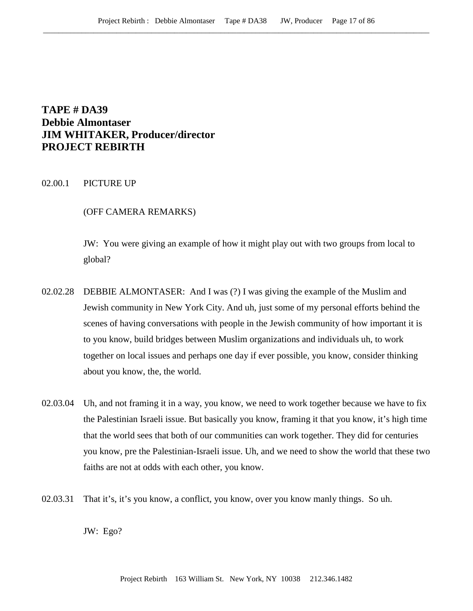# **TAPE # DA39 Debbie Almontaser JIM WHITAKER, Producer/director PROJECT REBIRTH**

## 02.00.1 PICTURE UP

### (OFF CAMERA REMARKS)

JW: You were giving an example of how it might play out with two groups from local to global?

- 02.02.28 DEBBIE ALMONTASER: And I was (?) I was giving the example of the Muslim and Jewish community in New York City. And uh, just some of my personal efforts behind the scenes of having conversations with people in the Jewish community of how important it is to you know, build bridges between Muslim organizations and individuals uh, to work together on local issues and perhaps one day if ever possible, you know, consider thinking about you know, the, the world.
- 02.03.04 Uh, and not framing it in a way, you know, we need to work together because we have to fix the Palestinian Israeli issue. But basically you know, framing it that you know, it's high time that the world sees that both of our communities can work together. They did for centuries you know, pre the Palestinian-Israeli issue. Uh, and we need to show the world that these two faiths are not at odds with each other, you know.
- 02.03.31 That it's, it's you know, a conflict, you know, over you know manly things. So uh.

JW: Ego?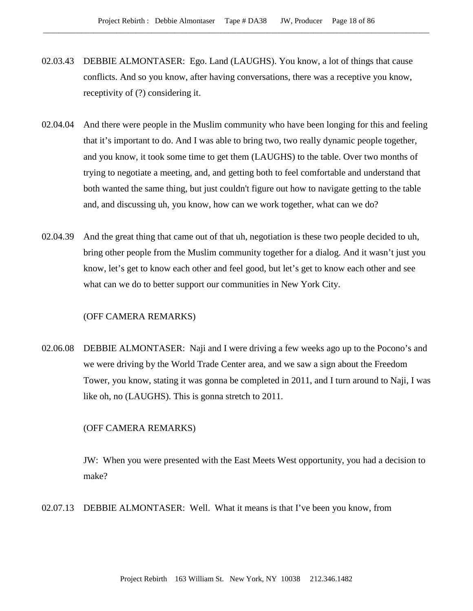- 02.03.43 DEBBIE ALMONTASER: Ego. Land (LAUGHS). You know, a lot of things that cause conflicts. And so you know, after having conversations, there was a receptive you know, receptivity of (?) considering it.
- 02.04.04 And there were people in the Muslim community who have been longing for this and feeling that it's important to do. And I was able to bring two, two really dynamic people together, and you know, it took some time to get them (LAUGHS) to the table. Over two months of trying to negotiate a meeting, and, and getting both to feel comfortable and understand that both wanted the same thing, but just couldn't figure out how to navigate getting to the table and, and discussing uh, you know, how can we work together, what can we do?
- 02.04.39 And the great thing that came out of that uh, negotiation is these two people decided to uh, bring other people from the Muslim community together for a dialog. And it wasn't just you know, let's get to know each other and feel good, but let's get to know each other and see what can we do to better support our communities in New York City.

## (OFF CAMERA REMARKS)

02.06.08 DEBBIE ALMONTASER: Naji and I were driving a few weeks ago up to the Pocono's and we were driving by the World Trade Center area, and we saw a sign about the Freedom Tower, you know, stating it was gonna be completed in 2011, and I turn around to Naji, I was like oh, no (LAUGHS). This is gonna stretch to 2011.

#### (OFF CAMERA REMARKS)

JW: When you were presented with the East Meets West opportunity, you had a decision to make?

02.07.13 DEBBIE ALMONTASER: Well. What it means is that I've been you know, from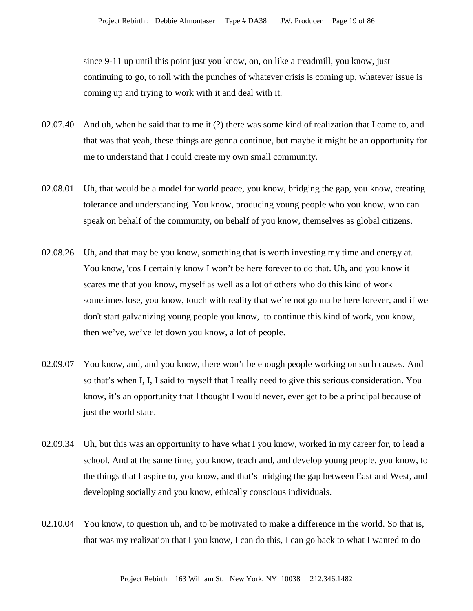since 9-11 up until this point just you know, on, on like a treadmill, you know, just continuing to go, to roll with the punches of whatever crisis is coming up, whatever issue is coming up and trying to work with it and deal with it.

- 02.07.40 And uh, when he said that to me it (?) there was some kind of realization that I came to, and that was that yeah, these things are gonna continue, but maybe it might be an opportunity for me to understand that I could create my own small community.
- 02.08.01 Uh, that would be a model for world peace, you know, bridging the gap, you know, creating tolerance and understanding. You know, producing young people who you know, who can speak on behalf of the community, on behalf of you know, themselves as global citizens.
- 02.08.26 Uh, and that may be you know, something that is worth investing my time and energy at. You know, 'cos I certainly know I won't be here forever to do that. Uh, and you know it scares me that you know, myself as well as a lot of others who do this kind of work sometimes lose, you know, touch with reality that we're not gonna be here forever, and if we don't start galvanizing young people you know, to continue this kind of work, you know, then we've, we've let down you know, a lot of people.
- 02.09.07 You know, and, and you know, there won't be enough people working on such causes. And so that's when I, I, I said to myself that I really need to give this serious consideration. You know, it's an opportunity that I thought I would never, ever get to be a principal because of just the world state.
- 02.09.34 Uh, but this was an opportunity to have what I you know, worked in my career for, to lead a school. And at the same time, you know, teach and, and develop young people, you know, to the things that I aspire to, you know, and that's bridging the gap between East and West, and developing socially and you know, ethically conscious individuals.
- 02.10.04 You know, to question uh, and to be motivated to make a difference in the world. So that is, that was my realization that I you know, I can do this, I can go back to what I wanted to do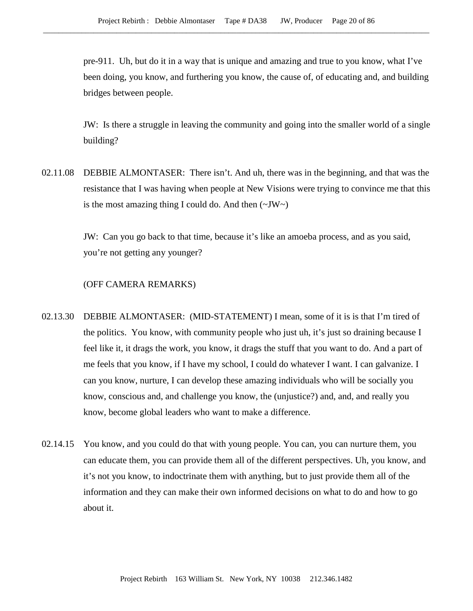pre-911. Uh, but do it in a way that is unique and amazing and true to you know, what I've been doing, you know, and furthering you know, the cause of, of educating and, and building bridges between people.

JW: Is there a struggle in leaving the community and going into the smaller world of a single building?

02.11.08 DEBBIE ALMONTASER: There isn't. And uh, there was in the beginning, and that was the resistance that I was having when people at New Visions were trying to convince me that this is the most amazing thing I could do. And then  $(\sim JW \sim)$ 

> JW: Can you go back to that time, because it's like an amoeba process, and as you said, you're not getting any younger?

- 02.13.30 DEBBIE ALMONTASER: (MID-STATEMENT) I mean, some of it is is that I'm tired of the politics. You know, with community people who just uh, it's just so draining because I feel like it, it drags the work, you know, it drags the stuff that you want to do. And a part of me feels that you know, if I have my school, I could do whatever I want. I can galvanize. I can you know, nurture, I can develop these amazing individuals who will be socially you know, conscious and, and challenge you know, the (unjustice?) and, and, and really you know, become global leaders who want to make a difference.
- 02.14.15 You know, and you could do that with young people. You can, you can nurture them, you can educate them, you can provide them all of the different perspectives. Uh, you know, and it's not you know, to indoctrinate them with anything, but to just provide them all of the information and they can make their own informed decisions on what to do and how to go about it.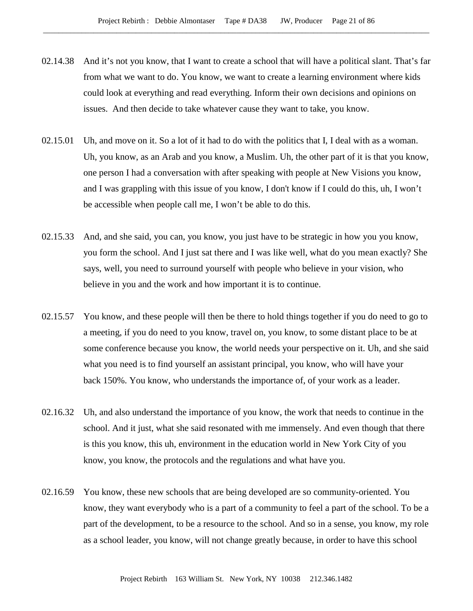- 02.14.38 And it's not you know, that I want to create a school that will have a political slant. That's far from what we want to do. You know, we want to create a learning environment where kids could look at everything and read everything. Inform their own decisions and opinions on issues. And then decide to take whatever cause they want to take, you know.
- 02.15.01 Uh, and move on it. So a lot of it had to do with the politics that I, I deal with as a woman. Uh, you know, as an Arab and you know, a Muslim. Uh, the other part of it is that you know, one person I had a conversation with after speaking with people at New Visions you know, and I was grappling with this issue of you know, I don't know if I could do this, uh, I won't be accessible when people call me, I won't be able to do this.
- 02.15.33 And, and she said, you can, you know, you just have to be strategic in how you you know, you form the school. And I just sat there and I was like well, what do you mean exactly? She says, well, you need to surround yourself with people who believe in your vision, who believe in you and the work and how important it is to continue.
- 02.15.57 You know, and these people will then be there to hold things together if you do need to go to a meeting, if you do need to you know, travel on, you know, to some distant place to be at some conference because you know, the world needs your perspective on it. Uh, and she said what you need is to find yourself an assistant principal, you know, who will have your back 150%. You know, who understands the importance of, of your work as a leader.
- 02.16.32 Uh, and also understand the importance of you know, the work that needs to continue in the school. And it just, what she said resonated with me immensely. And even though that there is this you know, this uh, environment in the education world in New York City of you know, you know, the protocols and the regulations and what have you.
- 02.16.59 You know, these new schools that are being developed are so community-oriented. You know, they want everybody who is a part of a community to feel a part of the school. To be a part of the development, to be a resource to the school. And so in a sense, you know, my role as a school leader, you know, will not change greatly because, in order to have this school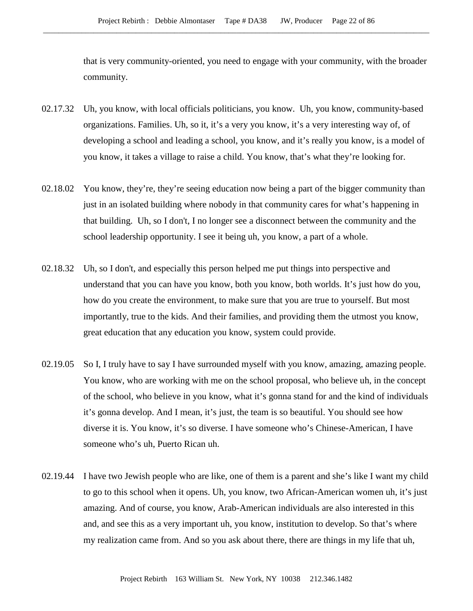that is very community-oriented, you need to engage with your community, with the broader community.

- 02.17.32 Uh, you know, with local officials politicians, you know. Uh, you know, community-based organizations. Families. Uh, so it, it's a very you know, it's a very interesting way of, of developing a school and leading a school, you know, and it's really you know, is a model of you know, it takes a village to raise a child. You know, that's what they're looking for.
- 02.18.02 You know, they're, they're seeing education now being a part of the bigger community than just in an isolated building where nobody in that community cares for what's happening in that building. Uh, so I don't, I no longer see a disconnect between the community and the school leadership opportunity. I see it being uh, you know, a part of a whole.
- 02.18.32 Uh, so I don't, and especially this person helped me put things into perspective and understand that you can have you know, both you know, both worlds. It's just how do you, how do you create the environment, to make sure that you are true to yourself. But most importantly, true to the kids. And their families, and providing them the utmost you know, great education that any education you know, system could provide.
- 02.19.05 So I, I truly have to say I have surrounded myself with you know, amazing, amazing people. You know, who are working with me on the school proposal, who believe uh, in the concept of the school, who believe in you know, what it's gonna stand for and the kind of individuals it's gonna develop. And I mean, it's just, the team is so beautiful. You should see how diverse it is. You know, it's so diverse. I have someone who's Chinese-American, I have someone who's uh, Puerto Rican uh.
- 02.19.44 I have two Jewish people who are like, one of them is a parent and she's like I want my child to go to this school when it opens. Uh, you know, two African-American women uh, it's just amazing. And of course, you know, Arab-American individuals are also interested in this and, and see this as a very important uh, you know, institution to develop. So that's where my realization came from. And so you ask about there, there are things in my life that uh,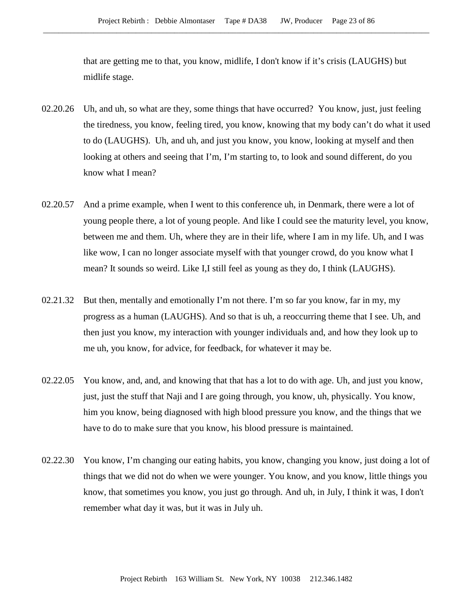that are getting me to that, you know, midlife, I don't know if it's crisis (LAUGHS) but midlife stage.

- 02.20.26 Uh, and uh, so what are they, some things that have occurred? You know, just, just feeling the tiredness, you know, feeling tired, you know, knowing that my body can't do what it used to do (LAUGHS). Uh, and uh, and just you know, you know, looking at myself and then looking at others and seeing that I'm, I'm starting to, to look and sound different, do you know what I mean?
- 02.20.57 And a prime example, when I went to this conference uh, in Denmark, there were a lot of young people there, a lot of young people. And like I could see the maturity level, you know, between me and them. Uh, where they are in their life, where I am in my life. Uh, and I was like wow, I can no longer associate myself with that younger crowd, do you know what I mean? It sounds so weird. Like I,I still feel as young as they do, I think (LAUGHS).
- 02.21.32 But then, mentally and emotionally I'm not there. I'm so far you know, far in my, my progress as a human (LAUGHS). And so that is uh, a reoccurring theme that I see. Uh, and then just you know, my interaction with younger individuals and, and how they look up to me uh, you know, for advice, for feedback, for whatever it may be.
- 02.22.05 You know, and, and, and knowing that that has a lot to do with age. Uh, and just you know, just, just the stuff that Naji and I are going through, you know, uh, physically. You know, him you know, being diagnosed with high blood pressure you know, and the things that we have to do to make sure that you know, his blood pressure is maintained.
- 02.22.30 You know, I'm changing our eating habits, you know, changing you know, just doing a lot of things that we did not do when we were younger. You know, and you know, little things you know, that sometimes you know, you just go through. And uh, in July, I think it was, I don't remember what day it was, but it was in July uh.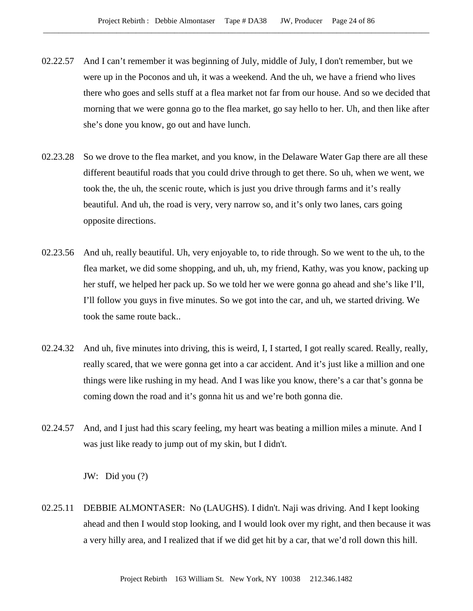- 02.22.57 And I can't remember it was beginning of July, middle of July, I don't remember, but we were up in the Poconos and uh, it was a weekend. And the uh, we have a friend who lives there who goes and sells stuff at a flea market not far from our house. And so we decided that morning that we were gonna go to the flea market, go say hello to her. Uh, and then like after she's done you know, go out and have lunch.
- 02.23.28 So we drove to the flea market, and you know, in the Delaware Water Gap there are all these different beautiful roads that you could drive through to get there. So uh, when we went, we took the, the uh, the scenic route, which is just you drive through farms and it's really beautiful. And uh, the road is very, very narrow so, and it's only two lanes, cars going opposite directions.
- 02.23.56 And uh, really beautiful. Uh, very enjoyable to, to ride through. So we went to the uh, to the flea market, we did some shopping, and uh, uh, my friend, Kathy, was you know, packing up her stuff, we helped her pack up. So we told her we were gonna go ahead and she's like I'll, I'll follow you guys in five minutes. So we got into the car, and uh, we started driving. We took the same route back..
- 02.24.32 And uh, five minutes into driving, this is weird, I, I started, I got really scared. Really, really, really scared, that we were gonna get into a car accident. And it's just like a million and one things were like rushing in my head. And I was like you know, there's a car that's gonna be coming down the road and it's gonna hit us and we're both gonna die.
- 02.24.57 And, and I just had this scary feeling, my heart was beating a million miles a minute. And I was just like ready to jump out of my skin, but I didn't.

JW: Did you (?)

02.25.11 DEBBIE ALMONTASER: No (LAUGHS). I didn't. Naji was driving. And I kept looking ahead and then I would stop looking, and I would look over my right, and then because it was a very hilly area, and I realized that if we did get hit by a car, that we'd roll down this hill.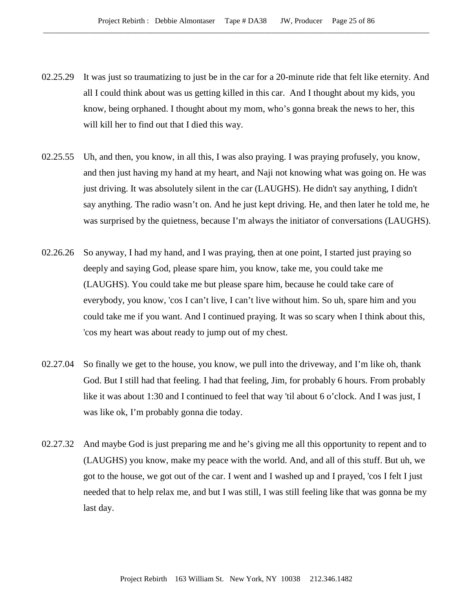- 02.25.29 It was just so traumatizing to just be in the car for a 20-minute ride that felt like eternity. And all I could think about was us getting killed in this car. And I thought about my kids, you know, being orphaned. I thought about my mom, who's gonna break the news to her, this will kill her to find out that I died this way.
- 02.25.55 Uh, and then, you know, in all this, I was also praying. I was praying profusely, you know, and then just having my hand at my heart, and Naji not knowing what was going on. He was just driving. It was absolutely silent in the car (LAUGHS). He didn't say anything, I didn't say anything. The radio wasn't on. And he just kept driving. He, and then later he told me, he was surprised by the quietness, because I'm always the initiator of conversations (LAUGHS).
- 02.26.26 So anyway, I had my hand, and I was praying, then at one point, I started just praying so deeply and saying God, please spare him, you know, take me, you could take me (LAUGHS). You could take me but please spare him, because he could take care of everybody, you know, 'cos I can't live, I can't live without him. So uh, spare him and you could take me if you want. And I continued praying. It was so scary when I think about this, 'cos my heart was about ready to jump out of my chest.
- 02.27.04 So finally we get to the house, you know, we pull into the driveway, and I'm like oh, thank God. But I still had that feeling. I had that feeling, Jim, for probably 6 hours. From probably like it was about 1:30 and I continued to feel that way 'til about 6 o'clock. And I was just, I was like ok, I'm probably gonna die today.
- 02.27.32 And maybe God is just preparing me and he's giving me all this opportunity to repent and to (LAUGHS) you know, make my peace with the world. And, and all of this stuff. But uh, we got to the house, we got out of the car. I went and I washed up and I prayed, 'cos I felt I just needed that to help relax me, and but I was still, I was still feeling like that was gonna be my last day.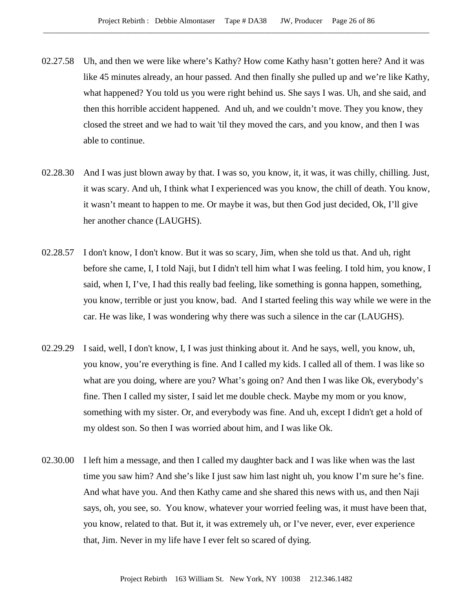- 02.27.58 Uh, and then we were like where's Kathy? How come Kathy hasn't gotten here? And it was like 45 minutes already, an hour passed. And then finally she pulled up and we're like Kathy, what happened? You told us you were right behind us. She says I was. Uh, and she said, and then this horrible accident happened. And uh, and we couldn't move. They you know, they closed the street and we had to wait 'til they moved the cars, and you know, and then I was able to continue.
- 02.28.30 And I was just blown away by that. I was so, you know, it, it was, it was chilly, chilling. Just, it was scary. And uh, I think what I experienced was you know, the chill of death. You know, it wasn't meant to happen to me. Or maybe it was, but then God just decided, Ok, I'll give her another chance (LAUGHS).
- 02.28.57 I don't know, I don't know. But it was so scary, Jim, when she told us that. And uh, right before she came, I, I told Naji, but I didn't tell him what I was feeling. I told him, you know, I said, when I, I've, I had this really bad feeling, like something is gonna happen, something, you know, terrible or just you know, bad. And I started feeling this way while we were in the car. He was like, I was wondering why there was such a silence in the car (LAUGHS).
- 02.29.29 I said, well, I don't know, I, I was just thinking about it. And he says, well, you know, uh, you know, you're everything is fine. And I called my kids. I called all of them. I was like so what are you doing, where are you? What's going on? And then I was like Ok, everybody's fine. Then I called my sister, I said let me double check. Maybe my mom or you know, something with my sister. Or, and everybody was fine. And uh, except I didn't get a hold of my oldest son. So then I was worried about him, and I was like Ok.
- 02.30.00 I left him a message, and then I called my daughter back and I was like when was the last time you saw him? And she's like I just saw him last night uh, you know I'm sure he's fine. And what have you. And then Kathy came and she shared this news with us, and then Naji says, oh, you see, so. You know, whatever your worried feeling was, it must have been that, you know, related to that. But it, it was extremely uh, or I've never, ever, ever experience that, Jim. Never in my life have I ever felt so scared of dying.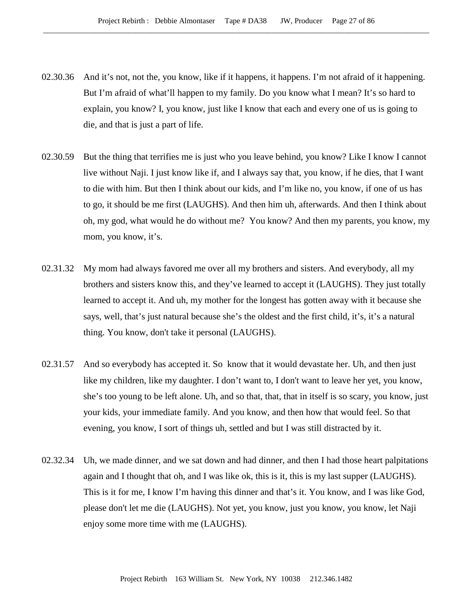- 02.30.36 And it's not, not the, you know, like if it happens, it happens. I'm not afraid of it happening. But I'm afraid of what'll happen to my family. Do you know what I mean? It's so hard to explain, you know? I, you know, just like I know that each and every one of us is going to die, and that is just a part of life.
- 02.30.59 But the thing that terrifies me is just who you leave behind, you know? Like I know I cannot live without Naji. I just know like if, and I always say that, you know, if he dies, that I want to die with him. But then I think about our kids, and I'm like no, you know, if one of us has to go, it should be me first (LAUGHS). And then him uh, afterwards. And then I think about oh, my god, what would he do without me? You know? And then my parents, you know, my mom, you know, it's.
- 02.31.32 My mom had always favored me over all my brothers and sisters. And everybody, all my brothers and sisters know this, and they've learned to accept it (LAUGHS). They just totally learned to accept it. And uh, my mother for the longest has gotten away with it because she says, well, that's just natural because she's the oldest and the first child, it's, it's a natural thing. You know, don't take it personal (LAUGHS).
- 02.31.57 And so everybody has accepted it. So know that it would devastate her. Uh, and then just like my children, like my daughter. I don't want to, I don't want to leave her yet, you know, she's too young to be left alone. Uh, and so that, that, that in itself is so scary, you know, just your kids, your immediate family. And you know, and then how that would feel. So that evening, you know, I sort of things uh, settled and but I was still distracted by it.
- 02.32.34 Uh, we made dinner, and we sat down and had dinner, and then I had those heart palpitations again and I thought that oh, and I was like ok, this is it, this is my last supper (LAUGHS). This is it for me, I know I'm having this dinner and that's it. You know, and I was like God, please don't let me die (LAUGHS). Not yet, you know, just you know, you know, let Naji enjoy some more time with me (LAUGHS).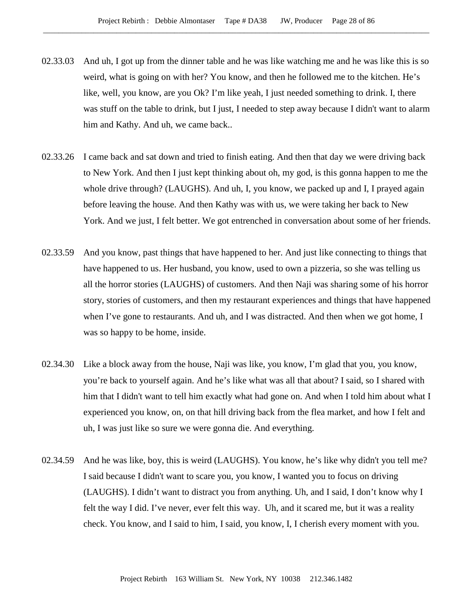- 02.33.03 And uh, I got up from the dinner table and he was like watching me and he was like this is so weird, what is going on with her? You know, and then he followed me to the kitchen. He's like, well, you know, are you Ok? I'm like yeah, I just needed something to drink. I, there was stuff on the table to drink, but I just, I needed to step away because I didn't want to alarm him and Kathy. And uh, we came back..
- 02.33.26 I came back and sat down and tried to finish eating. And then that day we were driving back to New York. And then I just kept thinking about oh, my god, is this gonna happen to me the whole drive through? (LAUGHS). And uh, I, you know, we packed up and I, I prayed again before leaving the house. And then Kathy was with us, we were taking her back to New York. And we just, I felt better. We got entrenched in conversation about some of her friends.
- 02.33.59 And you know, past things that have happened to her. And just like connecting to things that have happened to us. Her husband, you know, used to own a pizzeria, so she was telling us all the horror stories (LAUGHS) of customers. And then Naji was sharing some of his horror story, stories of customers, and then my restaurant experiences and things that have happened when I've gone to restaurants. And uh, and I was distracted. And then when we got home, I was so happy to be home, inside.
- 02.34.30 Like a block away from the house, Naji was like, you know, I'm glad that you, you know, you're back to yourself again. And he's like what was all that about? I said, so I shared with him that I didn't want to tell him exactly what had gone on. And when I told him about what I experienced you know, on, on that hill driving back from the flea market, and how I felt and uh, I was just like so sure we were gonna die. And everything.
- 02.34.59 And he was like, boy, this is weird (LAUGHS). You know, he's like why didn't you tell me? I said because I didn't want to scare you, you know, I wanted you to focus on driving (LAUGHS). I didn't want to distract you from anything. Uh, and I said, I don't know why I felt the way I did. I've never, ever felt this way. Uh, and it scared me, but it was a reality check. You know, and I said to him, I said, you know, I, I cherish every moment with you.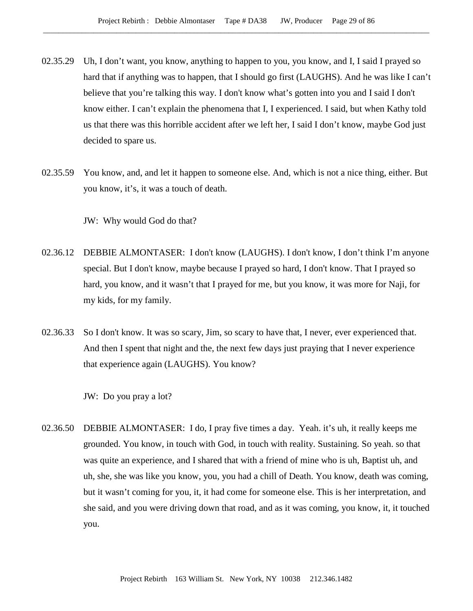- 02.35.29 Uh, I don't want, you know, anything to happen to you, you know, and I, I said I prayed so hard that if anything was to happen, that I should go first (LAUGHS). And he was like I can't believe that you're talking this way. I don't know what's gotten into you and I said I don't know either. I can't explain the phenomena that I, I experienced. I said, but when Kathy told us that there was this horrible accident after we left her, I said I don't know, maybe God just decided to spare us.
- 02.35.59 You know, and, and let it happen to someone else. And, which is not a nice thing, either. But you know, it's, it was a touch of death.

JW: Why would God do that?

- 02.36.12 DEBBIE ALMONTASER: I don't know (LAUGHS). I don't know, I don't think I'm anyone special. But I don't know, maybe because I prayed so hard, I don't know. That I prayed so hard, you know, and it wasn't that I prayed for me, but you know, it was more for Naji, for my kids, for my family.
- 02.36.33 So I don't know. It was so scary, Jim, so scary to have that, I never, ever experienced that. And then I spent that night and the, the next few days just praying that I never experience that experience again (LAUGHS). You know?

JW: Do you pray a lot?

02.36.50 DEBBIE ALMONTASER: I do, I pray five times a day. Yeah. it's uh, it really keeps me grounded. You know, in touch with God, in touch with reality. Sustaining. So yeah. so that was quite an experience, and I shared that with a friend of mine who is uh, Baptist uh, and uh, she, she was like you know, you, you had a chill of Death. You know, death was coming, but it wasn't coming for you, it, it had come for someone else. This is her interpretation, and she said, and you were driving down that road, and as it was coming, you know, it, it touched you.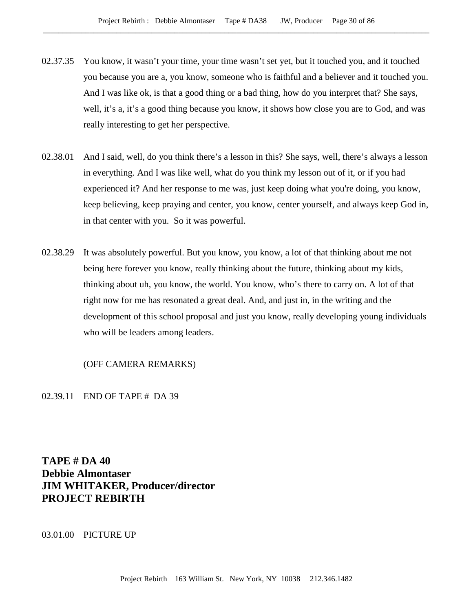- 02.37.35 You know, it wasn't your time, your time wasn't set yet, but it touched you, and it touched you because you are a, you know, someone who is faithful and a believer and it touched you. And I was like ok, is that a good thing or a bad thing, how do you interpret that? She says, well, it's a, it's a good thing because you know, it shows how close you are to God, and was really interesting to get her perspective.
- 02.38.01 And I said, well, do you think there's a lesson in this? She says, well, there's always a lesson in everything. And I was like well, what do you think my lesson out of it, or if you had experienced it? And her response to me was, just keep doing what you're doing, you know, keep believing, keep praying and center, you know, center yourself, and always keep God in, in that center with you. So it was powerful.
- 02.38.29 It was absolutely powerful. But you know, you know, a lot of that thinking about me not being here forever you know, really thinking about the future, thinking about my kids, thinking about uh, you know, the world. You know, who's there to carry on. A lot of that right now for me has resonated a great deal. And, and just in, in the writing and the development of this school proposal and just you know, really developing young individuals who will be leaders among leaders.

## (OFF CAMERA REMARKS)

02.39.11 END OF TAPE # DA 39

**TAPE # DA 40 Debbie Almontaser JIM WHITAKER, Producer/director PROJECT REBIRTH**

03.01.00 PICTURE UP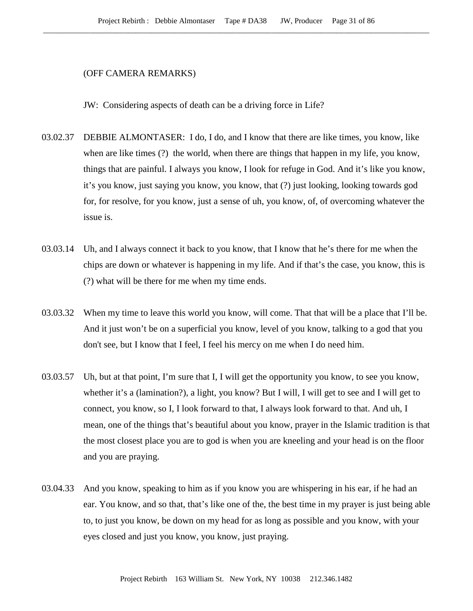#### (OFF CAMERA REMARKS)

JW: Considering aspects of death can be a driving force in Life?

- 03.02.37 DEBBIE ALMONTASER: I do, I do, and I know that there are like times, you know, like when are like times (?) the world, when there are things that happen in my life, you know, things that are painful. I always you know, I look for refuge in God. And it's like you know, it's you know, just saying you know, you know, that (?) just looking, looking towards god for, for resolve, for you know, just a sense of uh, you know, of, of overcoming whatever the issue is.
- 03.03.14 Uh, and I always connect it back to you know, that I know that he's there for me when the chips are down or whatever is happening in my life. And if that's the case, you know, this is (?) what will be there for me when my time ends.
- 03.03.32 When my time to leave this world you know, will come. That that will be a place that I'll be. And it just won't be on a superficial you know, level of you know, talking to a god that you don't see, but I know that I feel, I feel his mercy on me when I do need him.
- 03.03.57 Uh, but at that point, I'm sure that I, I will get the opportunity you know, to see you know, whether it's a (lamination?), a light, you know? But I will, I will get to see and I will get to connect, you know, so I, I look forward to that, I always look forward to that. And uh, I mean, one of the things that's beautiful about you know, prayer in the Islamic tradition is that the most closest place you are to god is when you are kneeling and your head is on the floor and you are praying.
- 03.04.33 And you know, speaking to him as if you know you are whispering in his ear, if he had an ear. You know, and so that, that's like one of the, the best time in my prayer is just being able to, to just you know, be down on my head for as long as possible and you know, with your eyes closed and just you know, you know, just praying.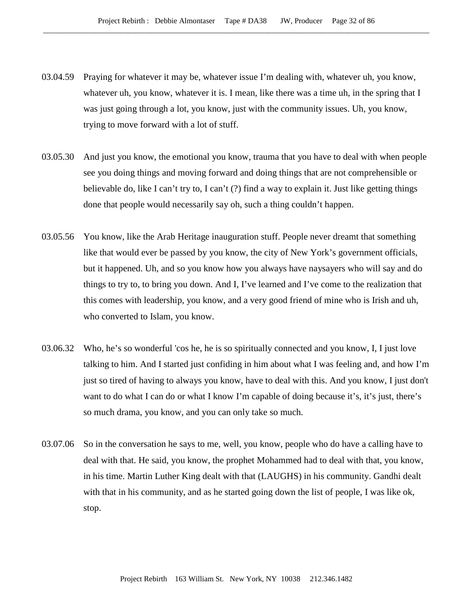- 03.04.59 Praying for whatever it may be, whatever issue I'm dealing with, whatever uh, you know, whatever uh, you know, whatever it is. I mean, like there was a time uh, in the spring that I was just going through a lot, you know, just with the community issues. Uh, you know, trying to move forward with a lot of stuff.
- 03.05.30 And just you know, the emotional you know, trauma that you have to deal with when people see you doing things and moving forward and doing things that are not comprehensible or believable do, like I can't try to, I can't (?) find a way to explain it. Just like getting things done that people would necessarily say oh, such a thing couldn't happen.
- 03.05.56 You know, like the Arab Heritage inauguration stuff. People never dreamt that something like that would ever be passed by you know, the city of New York's government officials, but it happened. Uh, and so you know how you always have naysayers who will say and do things to try to, to bring you down. And I, I've learned and I've come to the realization that this comes with leadership, you know, and a very good friend of mine who is Irish and uh, who converted to Islam, you know.
- 03.06.32 Who, he's so wonderful 'cos he, he is so spiritually connected and you know, I, I just love talking to him. And I started just confiding in him about what I was feeling and, and how I'm just so tired of having to always you know, have to deal with this. And you know, I just don't want to do what I can do or what I know I'm capable of doing because it's, it's just, there's so much drama, you know, and you can only take so much.
- 03.07.06 So in the conversation he says to me, well, you know, people who do have a calling have to deal with that. He said, you know, the prophet Mohammed had to deal with that, you know, in his time. Martin Luther King dealt with that (LAUGHS) in his community. Gandhi dealt with that in his community, and as he started going down the list of people, I was like ok, stop.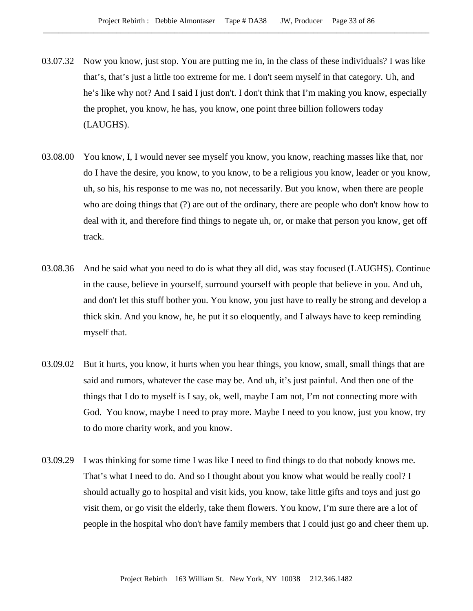- 03.07.32 Now you know, just stop. You are putting me in, in the class of these individuals? I was like that's, that's just a little too extreme for me. I don't seem myself in that category. Uh, and he's like why not? And I said I just don't. I don't think that I'm making you know, especially the prophet, you know, he has, you know, one point three billion followers today (LAUGHS).
- 03.08.00 You know, I, I would never see myself you know, you know, reaching masses like that, nor do I have the desire, you know, to you know, to be a religious you know, leader or you know, uh, so his, his response to me was no, not necessarily. But you know, when there are people who are doing things that (?) are out of the ordinary, there are people who don't know how to deal with it, and therefore find things to negate uh, or, or make that person you know, get off track.
- 03.08.36 And he said what you need to do is what they all did, was stay focused (LAUGHS). Continue in the cause, believe in yourself, surround yourself with people that believe in you. And uh, and don't let this stuff bother you. You know, you just have to really be strong and develop a thick skin. And you know, he, he put it so eloquently, and I always have to keep reminding myself that.
- 03.09.02 But it hurts, you know, it hurts when you hear things, you know, small, small things that are said and rumors, whatever the case may be. And uh, it's just painful. And then one of the things that I do to myself is I say, ok, well, maybe I am not, I'm not connecting more with God. You know, maybe I need to pray more. Maybe I need to you know, just you know, try to do more charity work, and you know.
- 03.09.29 I was thinking for some time I was like I need to find things to do that nobody knows me. That's what I need to do. And so I thought about you know what would be really cool? I should actually go to hospital and visit kids, you know, take little gifts and toys and just go visit them, or go visit the elderly, take them flowers. You know, I'm sure there are a lot of people in the hospital who don't have family members that I could just go and cheer them up.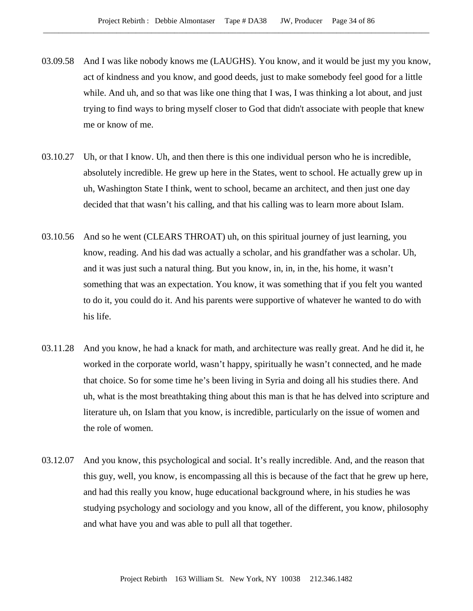- 03.09.58 And I was like nobody knows me (LAUGHS). You know, and it would be just my you know, act of kindness and you know, and good deeds, just to make somebody feel good for a little while. And uh, and so that was like one thing that I was, I was thinking a lot about, and just trying to find ways to bring myself closer to God that didn't associate with people that knew me or know of me.
- 03.10.27 Uh, or that I know. Uh, and then there is this one individual person who he is incredible, absolutely incredible. He grew up here in the States, went to school. He actually grew up in uh, Washington State I think, went to school, became an architect, and then just one day decided that that wasn't his calling, and that his calling was to learn more about Islam.
- 03.10.56 And so he went (CLEARS THROAT) uh, on this spiritual journey of just learning, you know, reading. And his dad was actually a scholar, and his grandfather was a scholar. Uh, and it was just such a natural thing. But you know, in, in, in the, his home, it wasn't something that was an expectation. You know, it was something that if you felt you wanted to do it, you could do it. And his parents were supportive of whatever he wanted to do with his life.
- 03.11.28 And you know, he had a knack for math, and architecture was really great. And he did it, he worked in the corporate world, wasn't happy, spiritually he wasn't connected, and he made that choice. So for some time he's been living in Syria and doing all his studies there. And uh, what is the most breathtaking thing about this man is that he has delved into scripture and literature uh, on Islam that you know, is incredible, particularly on the issue of women and the role of women.
- 03.12.07 And you know, this psychological and social. It's really incredible. And, and the reason that this guy, well, you know, is encompassing all this is because of the fact that he grew up here, and had this really you know, huge educational background where, in his studies he was studying psychology and sociology and you know, all of the different, you know, philosophy and what have you and was able to pull all that together.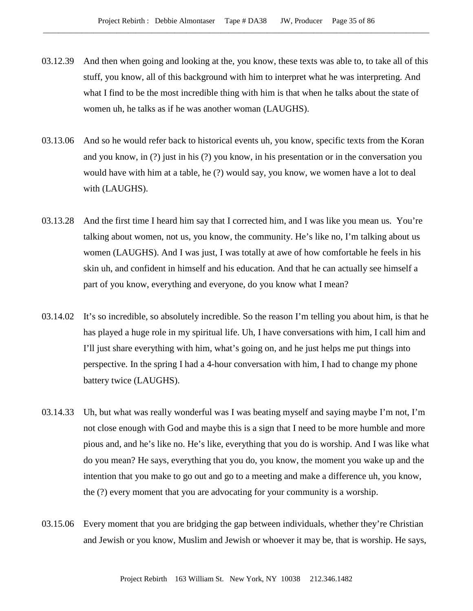- 03.12.39 And then when going and looking at the, you know, these texts was able to, to take all of this stuff, you know, all of this background with him to interpret what he was interpreting. And what I find to be the most incredible thing with him is that when he talks about the state of women uh, he talks as if he was another woman (LAUGHS).
- 03.13.06 And so he would refer back to historical events uh, you know, specific texts from the Koran and you know, in (?) just in his (?) you know, in his presentation or in the conversation you would have with him at a table, he (?) would say, you know, we women have a lot to deal with (LAUGHS).
- 03.13.28 And the first time I heard him say that I corrected him, and I was like you mean us. You're talking about women, not us, you know, the community. He's like no, I'm talking about us women (LAUGHS). And I was just, I was totally at awe of how comfortable he feels in his skin uh, and confident in himself and his education. And that he can actually see himself a part of you know, everything and everyone, do you know what I mean?
- 03.14.02 It's so incredible, so absolutely incredible. So the reason I'm telling you about him, is that he has played a huge role in my spiritual life. Uh, I have conversations with him, I call him and I'll just share everything with him, what's going on, and he just helps me put things into perspective. In the spring I had a 4-hour conversation with him, I had to change my phone battery twice (LAUGHS).
- 03.14.33 Uh, but what was really wonderful was I was beating myself and saying maybe I'm not, I'm not close enough with God and maybe this is a sign that I need to be more humble and more pious and, and he's like no. He's like, everything that you do is worship. And I was like what do you mean? He says, everything that you do, you know, the moment you wake up and the intention that you make to go out and go to a meeting and make a difference uh, you know, the (?) every moment that you are advocating for your community is a worship.
- 03.15.06 Every moment that you are bridging the gap between individuals, whether they're Christian and Jewish or you know, Muslim and Jewish or whoever it may be, that is worship. He says,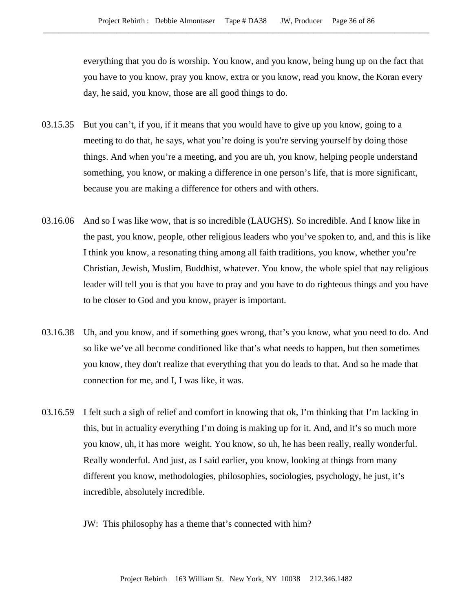everything that you do is worship. You know, and you know, being hung up on the fact that you have to you know, pray you know, extra or you know, read you know, the Koran every day, he said, you know, those are all good things to do.

- 03.15.35 But you can't, if you, if it means that you would have to give up you know, going to a meeting to do that, he says, what you're doing is you're serving yourself by doing those things. And when you're a meeting, and you are uh, you know, helping people understand something, you know, or making a difference in one person's life, that is more significant, because you are making a difference for others and with others.
- 03.16.06 And so I was like wow, that is so incredible (LAUGHS). So incredible. And I know like in the past, you know, people, other religious leaders who you've spoken to, and, and this is like I think you know, a resonating thing among all faith traditions, you know, whether you're Christian, Jewish, Muslim, Buddhist, whatever. You know, the whole spiel that nay religious leader will tell you is that you have to pray and you have to do righteous things and you have to be closer to God and you know, prayer is important.
- 03.16.38 Uh, and you know, and if something goes wrong, that's you know, what you need to do. And so like we've all become conditioned like that's what needs to happen, but then sometimes you know, they don't realize that everything that you do leads to that. And so he made that connection for me, and I, I was like, it was.
- 03.16.59 I felt such a sigh of relief and comfort in knowing that ok, I'm thinking that I'm lacking in this, but in actuality everything I'm doing is making up for it. And, and it's so much more you know, uh, it has more weight. You know, so uh, he has been really, really wonderful. Really wonderful. And just, as I said earlier, you know, looking at things from many different you know, methodologies, philosophies, sociologies, psychology, he just, it's incredible, absolutely incredible.
	- JW: This philosophy has a theme that's connected with him?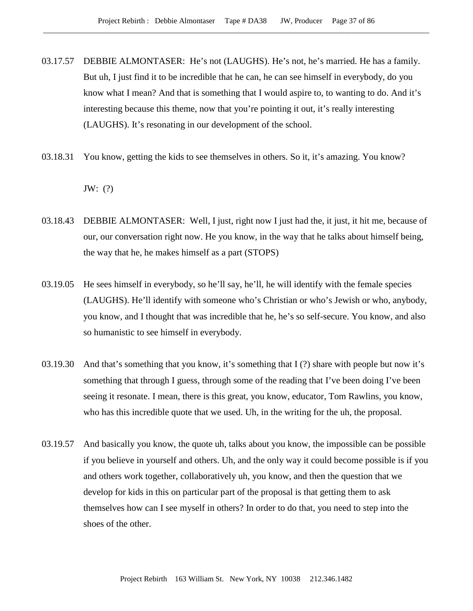- 03.17.57 DEBBIE ALMONTASER: He's not (LAUGHS). He's not, he's married. He has a family. But uh, I just find it to be incredible that he can, he can see himself in everybody, do you know what I mean? And that is something that I would aspire to, to wanting to do. And it's interesting because this theme, now that you're pointing it out, it's really interesting (LAUGHS). It's resonating in our development of the school.
- 03.18.31 You know, getting the kids to see themselves in others. So it, it's amazing. You know? JW: (?)
- 03.18.43 DEBBIE ALMONTASER: Well, I just, right now I just had the, it just, it hit me, because of our, our conversation right now. He you know, in the way that he talks about himself being, the way that he, he makes himself as a part (STOPS)
- 03.19.05 He sees himself in everybody, so he'll say, he'll, he will identify with the female species (LAUGHS). He'll identify with someone who's Christian or who's Jewish or who, anybody, you know, and I thought that was incredible that he, he's so self-secure. You know, and also so humanistic to see himself in everybody.
- 03.19.30 And that's something that you know, it's something that I (?) share with people but now it's something that through I guess, through some of the reading that I've been doing I've been seeing it resonate. I mean, there is this great, you know, educator, Tom Rawlins, you know, who has this incredible quote that we used. Uh, in the writing for the uh, the proposal.
- 03.19.57 And basically you know, the quote uh, talks about you know, the impossible can be possible if you believe in yourself and others. Uh, and the only way it could become possible is if you and others work together, collaboratively uh, you know, and then the question that we develop for kids in this on particular part of the proposal is that getting them to ask themselves how can I see myself in others? In order to do that, you need to step into the shoes of the other.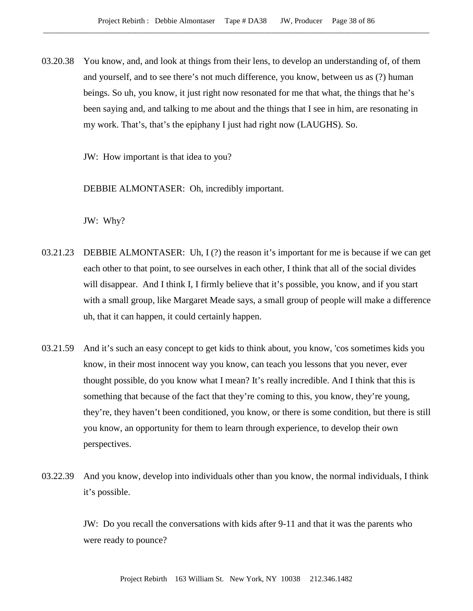03.20.38 You know, and, and look at things from their lens, to develop an understanding of, of them and yourself, and to see there's not much difference, you know, between us as (?) human beings. So uh, you know, it just right now resonated for me that what, the things that he's been saying and, and talking to me about and the things that I see in him, are resonating in my work. That's, that's the epiphany I just had right now (LAUGHS). So.

JW: How important is that idea to you?

DEBBIE ALMONTASER: Oh, incredibly important.

JW: Why?

- 03.21.23 DEBBIE ALMONTASER: Uh, I (?) the reason it's important for me is because if we can get each other to that point, to see ourselves in each other, I think that all of the social divides will disappear. And I think I, I firmly believe that it's possible, you know, and if you start with a small group, like Margaret Meade says, a small group of people will make a difference uh, that it can happen, it could certainly happen.
- 03.21.59 And it's such an easy concept to get kids to think about, you know, 'cos sometimes kids you know, in their most innocent way you know, can teach you lessons that you never, ever thought possible, do you know what I mean? It's really incredible. And I think that this is something that because of the fact that they're coming to this, you know, they're young, they're, they haven't been conditioned, you know, or there is some condition, but there is still you know, an opportunity for them to learn through experience, to develop their own perspectives.
- 03.22.39 And you know, develop into individuals other than you know, the normal individuals, I think it's possible.

JW: Do you recall the conversations with kids after 9-11 and that it was the parents who were ready to pounce?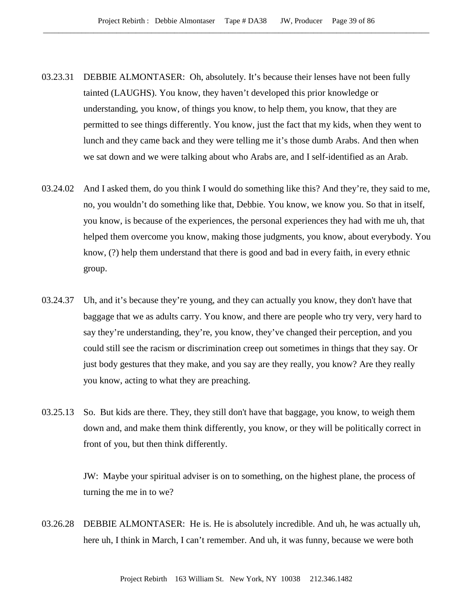- 03.23.31 DEBBIE ALMONTASER: Oh, absolutely. It's because their lenses have not been fully tainted (LAUGHS). You know, they haven't developed this prior knowledge or understanding, you know, of things you know, to help them, you know, that they are permitted to see things differently. You know, just the fact that my kids, when they went to lunch and they came back and they were telling me it's those dumb Arabs. And then when we sat down and we were talking about who Arabs are, and I self-identified as an Arab.
- 03.24.02 And I asked them, do you think I would do something like this? And they're, they said to me, no, you wouldn't do something like that, Debbie. You know, we know you. So that in itself, you know, is because of the experiences, the personal experiences they had with me uh, that helped them overcome you know, making those judgments, you know, about everybody. You know, (?) help them understand that there is good and bad in every faith, in every ethnic group.
- 03.24.37 Uh, and it's because they're young, and they can actually you know, they don't have that baggage that we as adults carry. You know, and there are people who try very, very hard to say they're understanding, they're, you know, they've changed their perception, and you could still see the racism or discrimination creep out sometimes in things that they say. Or just body gestures that they make, and you say are they really, you know? Are they really you know, acting to what they are preaching.
- 03.25.13 So. But kids are there. They, they still don't have that baggage, you know, to weigh them down and, and make them think differently, you know, or they will be politically correct in front of you, but then think differently.

JW: Maybe your spiritual adviser is on to something, on the highest plane, the process of turning the me in to we?

03.26.28 DEBBIE ALMONTASER: He is. He is absolutely incredible. And uh, he was actually uh, here uh, I think in March, I can't remember. And uh, it was funny, because we were both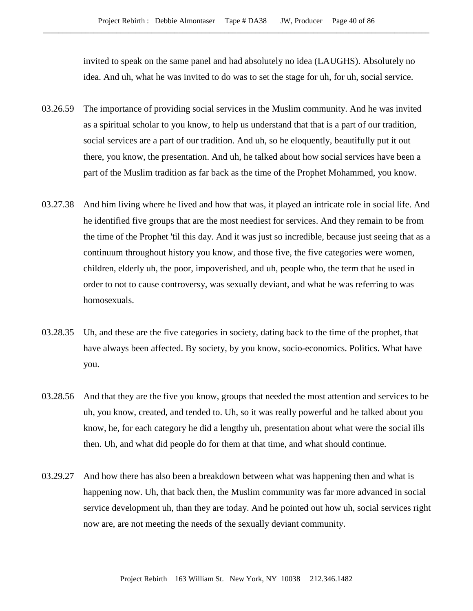invited to speak on the same panel and had absolutely no idea (LAUGHS). Absolutely no idea. And uh, what he was invited to do was to set the stage for uh, for uh, social service.

- 03.26.59 The importance of providing social services in the Muslim community. And he was invited as a spiritual scholar to you know, to help us understand that that is a part of our tradition, social services are a part of our tradition. And uh, so he eloquently, beautifully put it out there, you know, the presentation. And uh, he talked about how social services have been a part of the Muslim tradition as far back as the time of the Prophet Mohammed, you know.
- 03.27.38 And him living where he lived and how that was, it played an intricate role in social life. And he identified five groups that are the most neediest for services. And they remain to be from the time of the Prophet 'til this day. And it was just so incredible, because just seeing that as a continuum throughout history you know, and those five, the five categories were women, children, elderly uh, the poor, impoverished, and uh, people who, the term that he used in order to not to cause controversy, was sexually deviant, and what he was referring to was homosexuals.
- 03.28.35 Uh, and these are the five categories in society, dating back to the time of the prophet, that have always been affected. By society, by you know, socio-economics. Politics. What have you.
- 03.28.56 And that they are the five you know, groups that needed the most attention and services to be uh, you know, created, and tended to. Uh, so it was really powerful and he talked about you know, he, for each category he did a lengthy uh, presentation about what were the social ills then. Uh, and what did people do for them at that time, and what should continue.
- 03.29.27 And how there has also been a breakdown between what was happening then and what is happening now. Uh, that back then, the Muslim community was far more advanced in social service development uh, than they are today. And he pointed out how uh, social services right now are, are not meeting the needs of the sexually deviant community.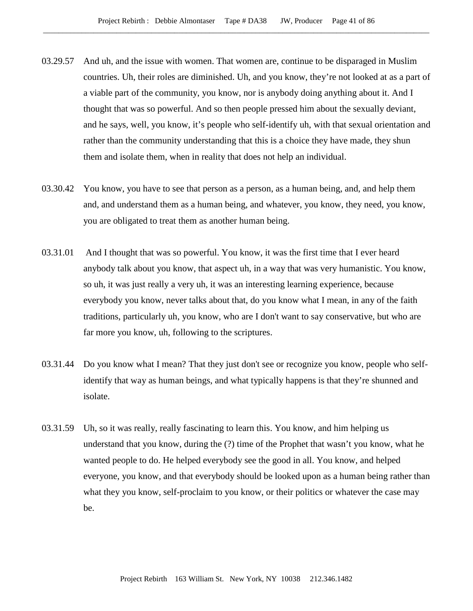- 03.29.57 And uh, and the issue with women. That women are, continue to be disparaged in Muslim countries. Uh, their roles are diminished. Uh, and you know, they're not looked at as a part of a viable part of the community, you know, nor is anybody doing anything about it. And I thought that was so powerful. And so then people pressed him about the sexually deviant, and he says, well, you know, it's people who self-identify uh, with that sexual orientation and rather than the community understanding that this is a choice they have made, they shun them and isolate them, when in reality that does not help an individual.
- 03.30.42 You know, you have to see that person as a person, as a human being, and, and help them and, and understand them as a human being, and whatever, you know, they need, you know, you are obligated to treat them as another human being.
- 03.31.01 And I thought that was so powerful. You know, it was the first time that I ever heard anybody talk about you know, that aspect uh, in a way that was very humanistic. You know, so uh, it was just really a very uh, it was an interesting learning experience, because everybody you know, never talks about that, do you know what I mean, in any of the faith traditions, particularly uh, you know, who are I don't want to say conservative, but who are far more you know, uh, following to the scriptures.
- 03.31.44 Do you know what I mean? That they just don't see or recognize you know, people who selfidentify that way as human beings, and what typically happens is that they're shunned and isolate.
- 03.31.59 Uh, so it was really, really fascinating to learn this. You know, and him helping us understand that you know, during the (?) time of the Prophet that wasn't you know, what he wanted people to do. He helped everybody see the good in all. You know, and helped everyone, you know, and that everybody should be looked upon as a human being rather than what they you know, self-proclaim to you know, or their politics or whatever the case may be.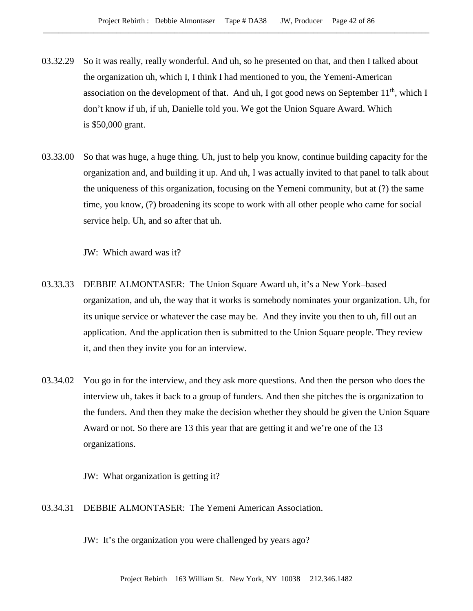- 03.32.29 So it was really, really wonderful. And uh, so he presented on that, and then I talked about the organization uh, which I, I think I had mentioned to you, the Yemeni-American association on the development of that. And uh, I got good news on September  $11<sup>th</sup>$ , which I don't know if uh, if uh, Danielle told you. We got the Union Square Award. Which is \$50,000 grant.
- 03.33.00 So that was huge, a huge thing. Uh, just to help you know, continue building capacity for the organization and, and building it up. And uh, I was actually invited to that panel to talk about the uniqueness of this organization, focusing on the Yemeni community, but at (?) the same time, you know, (?) broadening its scope to work with all other people who came for social service help. Uh, and so after that uh.

JW: Which award was it?

- 03.33.33 DEBBIE ALMONTASER: The Union Square Award uh, it's a New York–based organization, and uh, the way that it works is somebody nominates your organization. Uh, for its unique service or whatever the case may be. And they invite you then to uh, fill out an application. And the application then is submitted to the Union Square people. They review it, and then they invite you for an interview.
- 03.34.02 You go in for the interview, and they ask more questions. And then the person who does the interview uh, takes it back to a group of funders. And then she pitches the is organization to the funders. And then they make the decision whether they should be given the Union Square Award or not. So there are 13 this year that are getting it and we're one of the 13 organizations.

JW: What organization is getting it?

03.34.31 DEBBIE ALMONTASER: The Yemeni American Association.

JW: It's the organization you were challenged by years ago?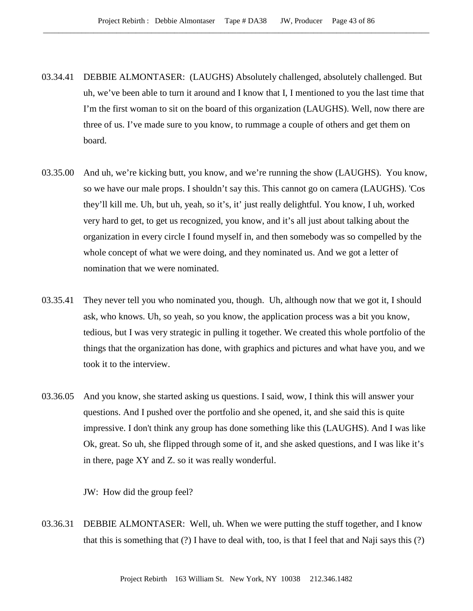- 03.34.41 DEBBIE ALMONTASER: (LAUGHS) Absolutely challenged, absolutely challenged. But uh, we've been able to turn it around and I know that I, I mentioned to you the last time that I'm the first woman to sit on the board of this organization (LAUGHS). Well, now there are three of us. I've made sure to you know, to rummage a couple of others and get them on board.
- 03.35.00 And uh, we're kicking butt, you know, and we're running the show (LAUGHS). You know, so we have our male props. I shouldn't say this. This cannot go on camera (LAUGHS). 'Cos they'll kill me. Uh, but uh, yeah, so it's, it' just really delightful. You know, I uh, worked very hard to get, to get us recognized, you know, and it's all just about talking about the organization in every circle I found myself in, and then somebody was so compelled by the whole concept of what we were doing, and they nominated us. And we got a letter of nomination that we were nominated.
- 03.35.41 They never tell you who nominated you, though. Uh, although now that we got it, I should ask, who knows. Uh, so yeah, so you know, the application process was a bit you know, tedious, but I was very strategic in pulling it together. We created this whole portfolio of the things that the organization has done, with graphics and pictures and what have you, and we took it to the interview.
- 03.36.05 And you know, she started asking us questions. I said, wow, I think this will answer your questions. And I pushed over the portfolio and she opened, it, and she said this is quite impressive. I don't think any group has done something like this (LAUGHS). And I was like Ok, great. So uh, she flipped through some of it, and she asked questions, and I was like it's in there, page XY and Z. so it was really wonderful.

JW: How did the group feel?

03.36.31 DEBBIE ALMONTASER: Well, uh. When we were putting the stuff together, and I know that this is something that (?) I have to deal with, too, is that I feel that and Naji says this (?)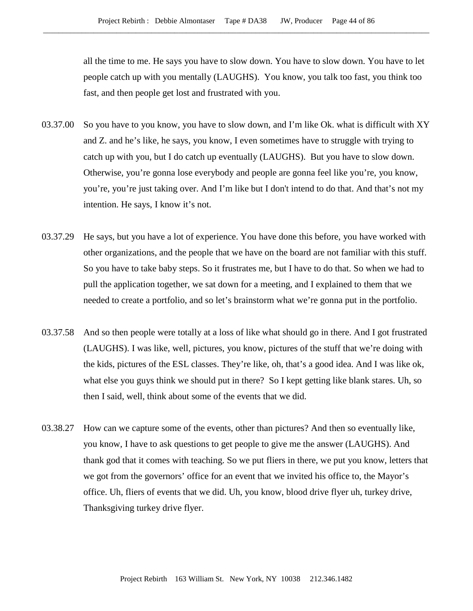all the time to me. He says you have to slow down. You have to slow down. You have to let people catch up with you mentally (LAUGHS). You know, you talk too fast, you think too fast, and then people get lost and frustrated with you.

- 03.37.00 So you have to you know, you have to slow down, and I'm like Ok. what is difficult with XY and Z. and he's like, he says, you know, I even sometimes have to struggle with trying to catch up with you, but I do catch up eventually (LAUGHS). But you have to slow down. Otherwise, you're gonna lose everybody and people are gonna feel like you're, you know, you're, you're just taking over. And I'm like but I don't intend to do that. And that's not my intention. He says, I know it's not.
- 03.37.29 He says, but you have a lot of experience. You have done this before, you have worked with other organizations, and the people that we have on the board are not familiar with this stuff. So you have to take baby steps. So it frustrates me, but I have to do that. So when we had to pull the application together, we sat down for a meeting, and I explained to them that we needed to create a portfolio, and so let's brainstorm what we're gonna put in the portfolio.
- 03.37.58 And so then people were totally at a loss of like what should go in there. And I got frustrated (LAUGHS). I was like, well, pictures, you know, pictures of the stuff that we're doing with the kids, pictures of the ESL classes. They're like, oh, that's a good idea. And I was like ok, what else you guys think we should put in there? So I kept getting like blank stares. Uh, so then I said, well, think about some of the events that we did.
- 03.38.27 How can we capture some of the events, other than pictures? And then so eventually like, you know, I have to ask questions to get people to give me the answer (LAUGHS). And thank god that it comes with teaching. So we put fliers in there, we put you know, letters that we got from the governors' office for an event that we invited his office to, the Mayor's office. Uh, fliers of events that we did. Uh, you know, blood drive flyer uh, turkey drive, Thanksgiving turkey drive flyer.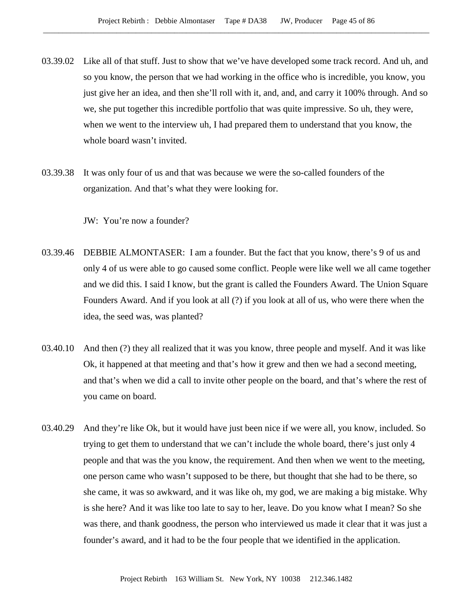- 03.39.02 Like all of that stuff. Just to show that we've have developed some track record. And uh, and so you know, the person that we had working in the office who is incredible, you know, you just give her an idea, and then she'll roll with it, and, and, and carry it 100% through. And so we, she put together this incredible portfolio that was quite impressive. So uh, they were, when we went to the interview uh, I had prepared them to understand that you know, the whole board wasn't invited.
- 03.39.38 It was only four of us and that was because we were the so-called founders of the organization. And that's what they were looking for.

JW: You're now a founder?

- 03.39.46 DEBBIE ALMONTASER: I am a founder. But the fact that you know, there's 9 of us and only 4 of us were able to go caused some conflict. People were like well we all came together and we did this. I said I know, but the grant is called the Founders Award. The Union Square Founders Award. And if you look at all (?) if you look at all of us, who were there when the idea, the seed was, was planted?
- 03.40.10 And then (?) they all realized that it was you know, three people and myself. And it was like Ok, it happened at that meeting and that's how it grew and then we had a second meeting, and that's when we did a call to invite other people on the board, and that's where the rest of you came on board.
- 03.40.29 And they're like Ok, but it would have just been nice if we were all, you know, included. So trying to get them to understand that we can't include the whole board, there's just only 4 people and that was the you know, the requirement. And then when we went to the meeting, one person came who wasn't supposed to be there, but thought that she had to be there, so she came, it was so awkward, and it was like oh, my god, we are making a big mistake. Why is she here? And it was like too late to say to her, leave. Do you know what I mean? So she was there, and thank goodness, the person who interviewed us made it clear that it was just a founder's award, and it had to be the four people that we identified in the application.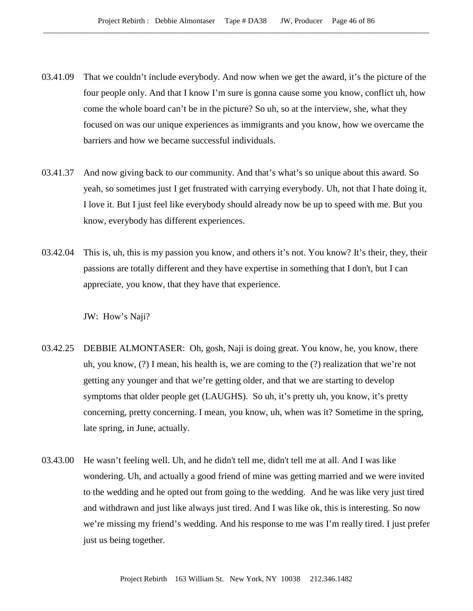- 03.41.09 That we couldn't include everybody. And now when we get the award, it's the picture of the four people only. And that I know I'm sure is gonna cause some you know, conflict uh, how come the whole board can't be in the picture? So uh, so at the interview, she, what they focused on was our unique experiences as immigrants and you know, how we overcame the barriers and how we became successful individuals.
- 03.41.37 And now giving back to our community. And that's what's so unique about this award. So yeah, so sometimes just I get frustrated with carrying everybody. Uh, not that I hate doing it, I love it. But I just feel like everybody should already now be up to speed with me. But you know, everybody has different experiences.
- 03.42.04 This is, uh, this is my passion you know, and others it's not. You know? It's their, they, their passions are totally different and they have expertise in something that I don't, but I can appreciate, you know, that they have that experience.

JW: How's Naji?

- 03.42.25 DEBBIE ALMONTASER: Oh, gosh, Naji is doing great. You know, he, you know, there uh, you know, (?) I mean, his health is, we are coming to the (?) realization that we're not getting any younger and that we're getting older, and that we are starting to develop symptoms that older people get (LAUGHS). So uh, it's pretty uh, you know, it's pretty concerning, pretty concerning. I mean, you know, uh, when was it? Sometime in the spring, late spring, in June, actually.
- 03.43.00 He wasn't feeling well. Uh, and he didn't tell me, didn't tell me at all. And I was like wondering. Uh, and actually a good friend of mine was getting married and we were invited to the wedding and he opted out from going to the wedding. And he was like very just tired and withdrawn and just like always just tired. And I was like ok, this is interesting. So now we're missing my friend's wedding. And his response to me was I'm really tired. I just prefer just us being together.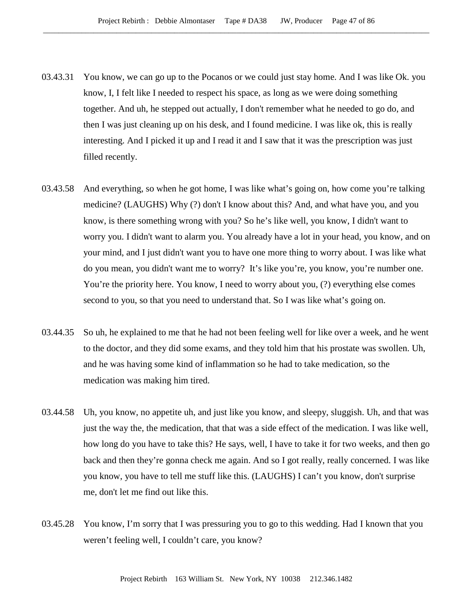- 03.43.31 You know, we can go up to the Pocanos or we could just stay home. And I was like Ok. you know, I, I felt like I needed to respect his space, as long as we were doing something together. And uh, he stepped out actually, I don't remember what he needed to go do, and then I was just cleaning up on his desk, and I found medicine. I was like ok, this is really interesting. And I picked it up and I read it and I saw that it was the prescription was just filled recently.
- 03.43.58 And everything, so when he got home, I was like what's going on, how come you're talking medicine? (LAUGHS) Why (?) don't I know about this? And, and what have you, and you know, is there something wrong with you? So he's like well, you know, I didn't want to worry you. I didn't want to alarm you. You already have a lot in your head, you know, and on your mind, and I just didn't want you to have one more thing to worry about. I was like what do you mean, you didn't want me to worry? It's like you're, you know, you're number one. You're the priority here. You know, I need to worry about you, (?) everything else comes second to you, so that you need to understand that. So I was like what's going on.
- 03.44.35 So uh, he explained to me that he had not been feeling well for like over a week, and he went to the doctor, and they did some exams, and they told him that his prostate was swollen. Uh, and he was having some kind of inflammation so he had to take medication, so the medication was making him tired.
- 03.44.58 Uh, you know, no appetite uh, and just like you know, and sleepy, sluggish. Uh, and that was just the way the, the medication, that that was a side effect of the medication. I was like well, how long do you have to take this? He says, well, I have to take it for two weeks, and then go back and then they're gonna check me again. And so I got really, really concerned. I was like you know, you have to tell me stuff like this. (LAUGHS) I can't you know, don't surprise me, don't let me find out like this.
- 03.45.28 You know, I'm sorry that I was pressuring you to go to this wedding. Had I known that you weren't feeling well, I couldn't care, you know?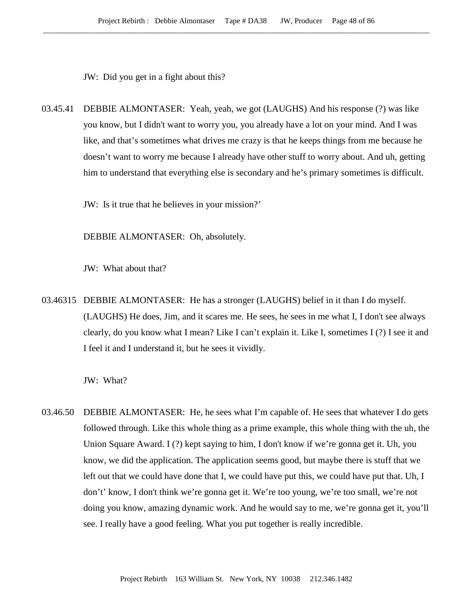JW: Did you get in a fight about this?

03.45.41 DEBBIE ALMONTASER: Yeah, yeah, we got (LAUGHS) And his response (?) was like you know, but I didn't want to worry you, you already have a lot on your mind. And I was like, and that's sometimes what drives me crazy is that he keeps things from me because he doesn't want to worry me because I already have other stuff to worry about. And uh, getting him to understand that everything else is secondary and he's primary sometimes is difficult.

JW: Is it true that he believes in your mission?'

DEBBIE ALMONTASER: Oh, absolutely.

JW: What about that?

03.46315 DEBBIE ALMONTASER: He has a stronger (LAUGHS) belief in it than I do myself. (LAUGHS) He does, Jim, and it scares me. He sees, he sees in me what I, I don't see always clearly, do you know what I mean? Like I can't explain it. Like I, sometimes I (?) I see it and I feel it and I understand it, but he sees it vividly.

JW: What?

03.46.50 DEBBIE ALMONTASER: He, he sees what I'm capable of. He sees that whatever I do gets followed through. Like this whole thing as a prime example, this whole thing with the uh, the Union Square Award. I (?) kept saying to him, I don't know if we're gonna get it. Uh, you know, we did the application. The application seems good, but maybe there is stuff that we left out that we could have done that I, we could have put this, we could have put that. Uh, I don't' know, I don't think we're gonna get it. We're too young, we're too small, we're not doing you know, amazing dynamic work. And he would say to me, we're gonna get it, you'll see. I really have a good feeling. What you put together is really incredible.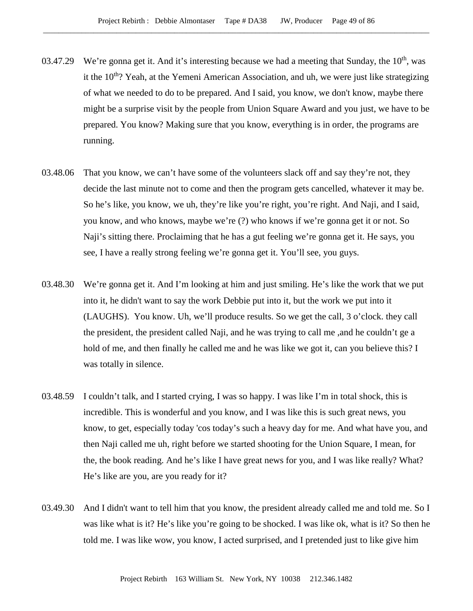- 03.47.29 We're gonna get it. And it's interesting because we had a meeting that Sunday, the  $10<sup>th</sup>$ , was it the 10<sup>th</sup>? Yeah, at the Yemeni American Association, and uh, we were just like strategizing of what we needed to do to be prepared. And I said, you know, we don't know, maybe there might be a surprise visit by the people from Union Square Award and you just, we have to be prepared. You know? Making sure that you know, everything is in order, the programs are running.
- 03.48.06 That you know, we can't have some of the volunteers slack off and say they're not, they decide the last minute not to come and then the program gets cancelled, whatever it may be. So he's like, you know, we uh, they're like you're right, you're right. And Naji, and I said, you know, and who knows, maybe we're (?) who knows if we're gonna get it or not. So Naji's sitting there. Proclaiming that he has a gut feeling we're gonna get it. He says, you see, I have a really strong feeling we're gonna get it. You'll see, you guys.
- 03.48.30 We're gonna get it. And I'm looking at him and just smiling. He's like the work that we put into it, he didn't want to say the work Debbie put into it, but the work we put into it (LAUGHS). You know. Uh, we'll produce results. So we get the call, 3 o'clock. they call the president, the president called Naji, and he was trying to call me ,and he couldn't ge a hold of me, and then finally he called me and he was like we got it, can you believe this? I was totally in silence.
- 03.48.59 I couldn't talk, and I started crying, I was so happy. I was like I'm in total shock, this is incredible. This is wonderful and you know, and I was like this is such great news, you know, to get, especially today 'cos today's such a heavy day for me. And what have you, and then Naji called me uh, right before we started shooting for the Union Square, I mean, for the, the book reading. And he's like I have great news for you, and I was like really? What? He's like are you, are you ready for it?
- 03.49.30 And I didn't want to tell him that you know, the president already called me and told me. So I was like what is it? He's like you're going to be shocked. I was like ok, what is it? So then he told me. I was like wow, you know, I acted surprised, and I pretended just to like give him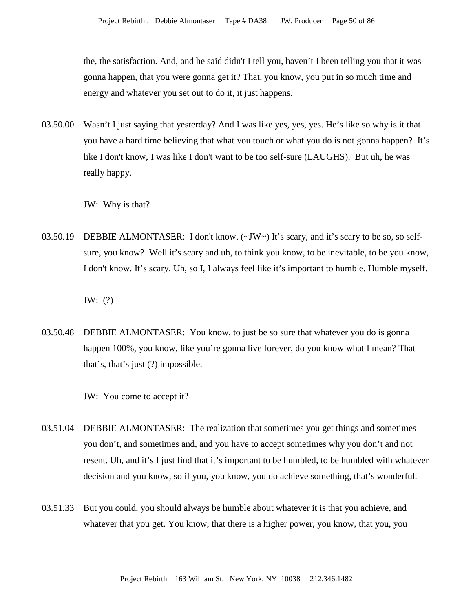the, the satisfaction. And, and he said didn't I tell you, haven't I been telling you that it was gonna happen, that you were gonna get it? That, you know, you put in so much time and energy and whatever you set out to do it, it just happens.

03.50.00 Wasn't I just saying that yesterday? And I was like yes, yes, yes. He's like so why is it that you have a hard time believing that what you touch or what you do is not gonna happen? It's like I don't know, I was like I don't want to be too self-sure (LAUGHS). But uh, he was really happy.

JW: Why is that?

03.50.19 DEBBIE ALMONTASER: I don't know. (~JW~) It's scary, and it's scary to be so, so selfsure, you know? Well it's scary and uh, to think you know, to be inevitable, to be you know, I don't know. It's scary. Uh, so I, I always feel like it's important to humble. Humble myself.

JW: (?)

03.50.48 DEBBIE ALMONTASER: You know, to just be so sure that whatever you do is gonna happen 100%, you know, like you're gonna live forever, do you know what I mean? That that's, that's just (?) impossible.

JW: You come to accept it?

- 03.51.04 DEBBIE ALMONTASER: The realization that sometimes you get things and sometimes you don't, and sometimes and, and you have to accept sometimes why you don't and not resent. Uh, and it's I just find that it's important to be humbled, to be humbled with whatever decision and you know, so if you, you know, you do achieve something, that's wonderful.
- 03.51.33 But you could, you should always be humble about whatever it is that you achieve, and whatever that you get. You know, that there is a higher power, you know, that you, you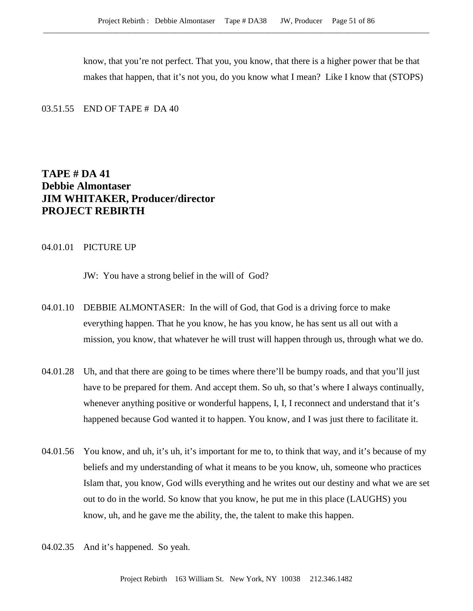know, that you're not perfect. That you, you know, that there is a higher power that be that makes that happen, that it's not you, do you know what I mean? Like I know that (STOPS)

03.51.55 END OF TAPE # DA 40

# **TAPE # DA 41 Debbie Almontaser JIM WHITAKER, Producer/director PROJECT REBIRTH**

### 04.01.01 PICTURE UP

JW: You have a strong belief in the will of God?

- 04.01.10 DEBBIE ALMONTASER: In the will of God, that God is a driving force to make everything happen. That he you know, he has you know, he has sent us all out with a mission, you know, that whatever he will trust will happen through us, through what we do.
- 04.01.28 Uh, and that there are going to be times where there'll be bumpy roads, and that you'll just have to be prepared for them. And accept them. So uh, so that's where I always continually, whenever anything positive or wonderful happens, I, I, I reconnect and understand that it's happened because God wanted it to happen. You know, and I was just there to facilitate it.
- 04.01.56 You know, and uh, it's uh, it's important for me to, to think that way, and it's because of my beliefs and my understanding of what it means to be you know, uh, someone who practices Islam that, you know, God wills everything and he writes out our destiny and what we are set out to do in the world. So know that you know, he put me in this place (LAUGHS) you know, uh, and he gave me the ability, the, the talent to make this happen.
- 04.02.35 And it's happened. So yeah.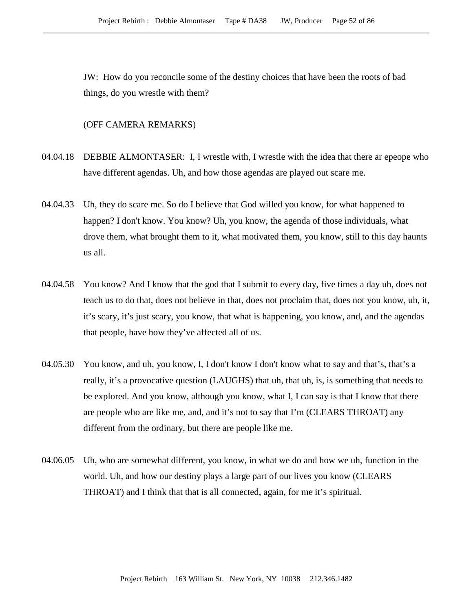JW: How do you reconcile some of the destiny choices that have been the roots of bad things, do you wrestle with them?

### (OFF CAMERA REMARKS)

- 04.04.18 DEBBIE ALMONTASER: I, I wrestle with, I wrestle with the idea that there ar epeope who have different agendas. Uh, and how those agendas are played out scare me.
- 04.04.33 Uh, they do scare me. So do I believe that God willed you know, for what happened to happen? I don't know. You know? Uh, you know, the agenda of those individuals, what drove them, what brought them to it, what motivated them, you know, still to this day haunts us all.
- 04.04.58 You know? And I know that the god that I submit to every day, five times a day uh, does not teach us to do that, does not believe in that, does not proclaim that, does not you know, uh, it, it's scary, it's just scary, you know, that what is happening, you know, and, and the agendas that people, have how they've affected all of us.
- 04.05.30 You know, and uh, you know, I, I don't know I don't know what to say and that's, that's a really, it's a provocative question (LAUGHS) that uh, that uh, is, is something that needs to be explored. And you know, although you know, what I, I can say is that I know that there are people who are like me, and, and it's not to say that I'm (CLEARS THROAT) any different from the ordinary, but there are people like me.
- 04.06.05 Uh, who are somewhat different, you know, in what we do and how we uh, function in the world. Uh, and how our destiny plays a large part of our lives you know (CLEARS THROAT) and I think that that is all connected, again, for me it's spiritual.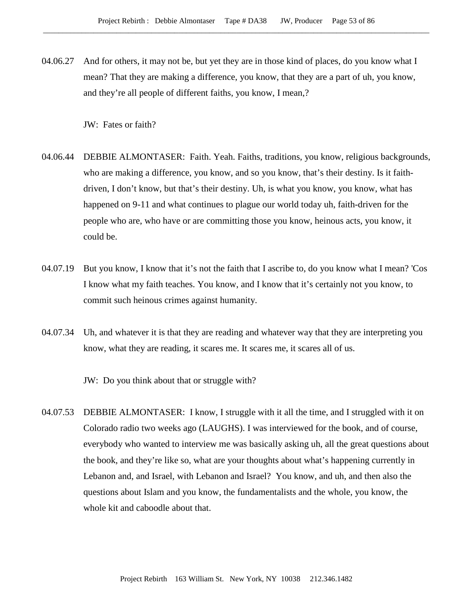04.06.27 And for others, it may not be, but yet they are in those kind of places, do you know what I mean? That they are making a difference, you know, that they are a part of uh, you know, and they're all people of different faiths, you know, I mean,?

JW: Fates or faith?

- 04.06.44 DEBBIE ALMONTASER: Faith. Yeah. Faiths, traditions, you know, religious backgrounds, who are making a difference, you know, and so you know, that's their destiny. Is it faithdriven, I don't know, but that's their destiny. Uh, is what you know, you know, what has happened on 9-11 and what continues to plague our world today uh, faith-driven for the people who are, who have or are committing those you know, heinous acts, you know, it could be.
- 04.07.19 But you know, I know that it's not the faith that I ascribe to, do you know what I mean? 'Cos I know what my faith teaches. You know, and I know that it's certainly not you know, to commit such heinous crimes against humanity.
- 04.07.34 Uh, and whatever it is that they are reading and whatever way that they are interpreting you know, what they are reading, it scares me. It scares me, it scares all of us.

JW: Do you think about that or struggle with?

04.07.53 DEBBIE ALMONTASER: I know, I struggle with it all the time, and I struggled with it on Colorado radio two weeks ago (LAUGHS). I was interviewed for the book, and of course, everybody who wanted to interview me was basically asking uh, all the great questions about the book, and they're like so, what are your thoughts about what's happening currently in Lebanon and, and Israel, with Lebanon and Israel? You know, and uh, and then also the questions about Islam and you know, the fundamentalists and the whole, you know, the whole kit and caboodle about that.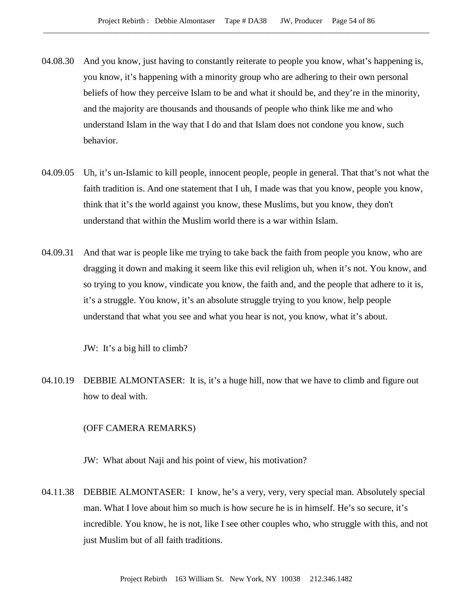- 04.08.30 And you know, just having to constantly reiterate to people you know, what's happening is, you know, it's happening with a minority group who are adhering to their own personal beliefs of how they perceive Islam to be and what it should be, and they're in the minority, and the majority are thousands and thousands of people who think like me and who understand Islam in the way that I do and that Islam does not condone you know, such behavior.
- 04.09.05 Uh, it's un-Islamic to kill people, innocent people, people in general. That that's not what the faith tradition is. And one statement that I uh, I made was that you know, people you know, think that it's the world against you know, these Muslims, but you know, they don't understand that within the Muslim world there is a war within Islam.
- 04.09.31 And that war is people like me trying to take back the faith from people you know, who are dragging it down and making it seem like this evil religion uh, when it's not. You know, and so trying to you know, vindicate you know, the faith and, and the people that adhere to it is, it's a struggle. You know, it's an absolute struggle trying to you know, help people understand that what you see and what you hear is not, you know, what it's about.

JW: It's a big hill to climb?

04.10.19 DEBBIE ALMONTASER: It is, it's a huge hill, now that we have to climb and figure out how to deal with.

### (OFF CAMERA REMARKS)

JW: What about Naji and his point of view, his motivation?

04.11.38 DEBBIE ALMONTASER: I know, he's a very, very, very special man. Absolutely special man. What I love about him so much is how secure he is in himself. He's so secure, it's incredible. You know, he is not, like I see other couples who, who struggle with this, and not just Muslim but of all faith traditions.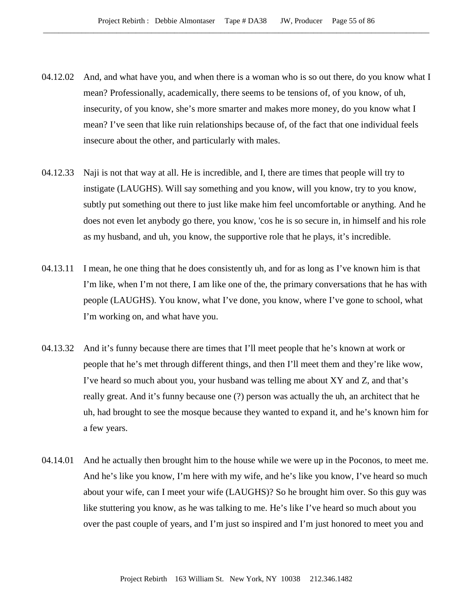- 04.12.02 And, and what have you, and when there is a woman who is so out there, do you know what I mean? Professionally, academically, there seems to be tensions of, of you know, of uh, insecurity, of you know, she's more smarter and makes more money, do you know what I mean? I've seen that like ruin relationships because of, of the fact that one individual feels insecure about the other, and particularly with males.
- 04.12.33 Naji is not that way at all. He is incredible, and I, there are times that people will try to instigate (LAUGHS). Will say something and you know, will you know, try to you know, subtly put something out there to just like make him feel uncomfortable or anything. And he does not even let anybody go there, you know, 'cos he is so secure in, in himself and his role as my husband, and uh, you know, the supportive role that he plays, it's incredible.
- 04.13.11 I mean, he one thing that he does consistently uh, and for as long as I've known him is that I'm like, when I'm not there, I am like one of the, the primary conversations that he has with people (LAUGHS). You know, what I've done, you know, where I've gone to school, what I'm working on, and what have you.
- 04.13.32 And it's funny because there are times that I'll meet people that he's known at work or people that he's met through different things, and then I'll meet them and they're like wow, I've heard so much about you, your husband was telling me about XY and Z, and that's really great. And it's funny because one (?) person was actually the uh, an architect that he uh, had brought to see the mosque because they wanted to expand it, and he's known him for a few years.
- 04.14.01 And he actually then brought him to the house while we were up in the Poconos, to meet me. And he's like you know, I'm here with my wife, and he's like you know, I've heard so much about your wife, can I meet your wife (LAUGHS)? So he brought him over. So this guy was like stuttering you know, as he was talking to me. He's like I've heard so much about you over the past couple of years, and I'm just so inspired and I'm just honored to meet you and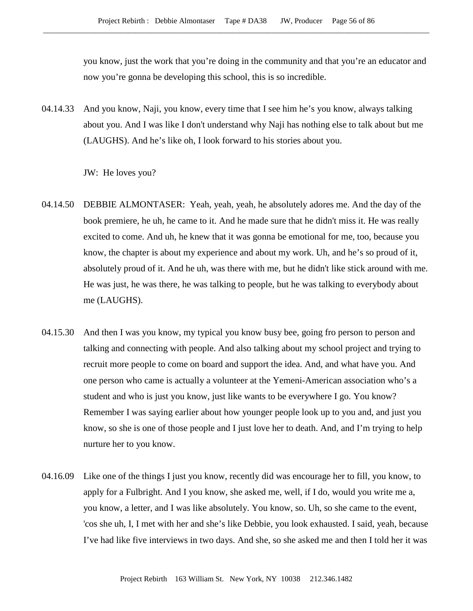you know, just the work that you're doing in the community and that you're an educator and now you're gonna be developing this school, this is so incredible.

04.14.33 And you know, Naji, you know, every time that I see him he's you know, always talking about you. And I was like I don't understand why Naji has nothing else to talk about but me (LAUGHS). And he's like oh, I look forward to his stories about you.

JW: He loves you?

- 04.14.50 DEBBIE ALMONTASER: Yeah, yeah, yeah, he absolutely adores me. And the day of the book premiere, he uh, he came to it. And he made sure that he didn't miss it. He was really excited to come. And uh, he knew that it was gonna be emotional for me, too, because you know, the chapter is about my experience and about my work. Uh, and he's so proud of it, absolutely proud of it. And he uh, was there with me, but he didn't like stick around with me. He was just, he was there, he was talking to people, but he was talking to everybody about me (LAUGHS).
- 04.15.30 And then I was you know, my typical you know busy bee, going fro person to person and talking and connecting with people. And also talking about my school project and trying to recruit more people to come on board and support the idea. And, and what have you. And one person who came is actually a volunteer at the Yemeni-American association who's a student and who is just you know, just like wants to be everywhere I go. You know? Remember I was saying earlier about how younger people look up to you and, and just you know, so she is one of those people and I just love her to death. And, and I'm trying to help nurture her to you know.
- 04.16.09 Like one of the things I just you know, recently did was encourage her to fill, you know, to apply for a Fulbright. And I you know, she asked me, well, if I do, would you write me a, you know, a letter, and I was like absolutely. You know, so. Uh, so she came to the event, 'cos she uh, I, I met with her and she's like Debbie, you look exhausted. I said, yeah, because I've had like five interviews in two days. And she, so she asked me and then I told her it was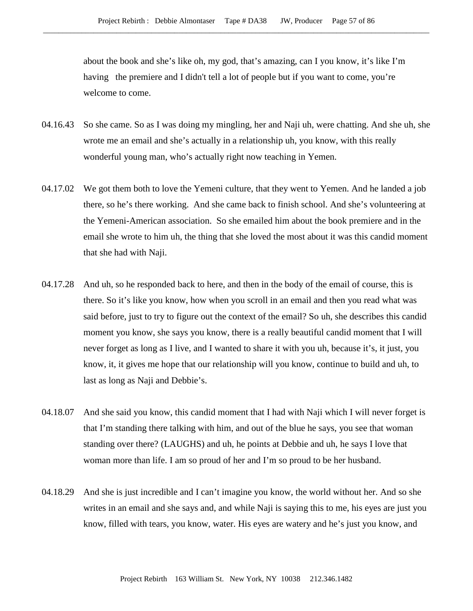about the book and she's like oh, my god, that's amazing, can I you know, it's like I'm having the premiere and I didn't tell a lot of people but if you want to come, you're welcome to come.

- 04.16.43 So she came. So as I was doing my mingling, her and Naji uh, were chatting. And she uh, she wrote me an email and she's actually in a relationship uh, you know, with this really wonderful young man, who's actually right now teaching in Yemen.
- 04.17.02 We got them both to love the Yemeni culture, that they went to Yemen. And he landed a job there, so he's there working. And she came back to finish school. And she's volunteering at the Yemeni-American association. So she emailed him about the book premiere and in the email she wrote to him uh, the thing that she loved the most about it was this candid moment that she had with Naji.
- 04.17.28 And uh, so he responded back to here, and then in the body of the email of course, this is there. So it's like you know, how when you scroll in an email and then you read what was said before, just to try to figure out the context of the email? So uh, she describes this candid moment you know, she says you know, there is a really beautiful candid moment that I will never forget as long as I live, and I wanted to share it with you uh, because it's, it just, you know, it, it gives me hope that our relationship will you know, continue to build and uh, to last as long as Naji and Debbie's.
- 04.18.07 And she said you know, this candid moment that I had with Naji which I will never forget is that I'm standing there talking with him, and out of the blue he says, you see that woman standing over there? (LAUGHS) and uh, he points at Debbie and uh, he says I love that woman more than life. I am so proud of her and I'm so proud to be her husband.
- 04.18.29 And she is just incredible and I can't imagine you know, the world without her. And so she writes in an email and she says and, and while Naji is saying this to me, his eyes are just you know, filled with tears, you know, water. His eyes are watery and he's just you know, and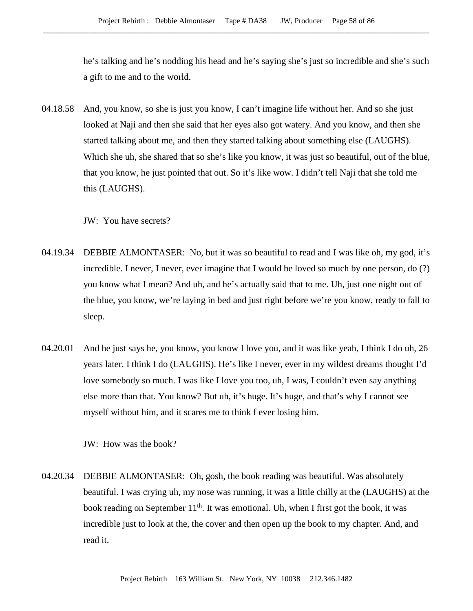he's talking and he's nodding his head and he's saying she's just so incredible and she's such a gift to me and to the world.

04.18.58 And, you know, so she is just you know, I can't imagine life without her. And so she just looked at Naji and then she said that her eyes also got watery. And you know, and then she started talking about me, and then they started talking about something else (LAUGHS). Which she uh, she shared that so she's like you know, it was just so beautiful, out of the blue, that you know, he just pointed that out. So it's like wow. I didn't tell Naji that she told me this (LAUGHS).

JW: You have secrets?

- 04.19.34 DEBBIE ALMONTASER: No, but it was so beautiful to read and I was like oh, my god, it's incredible. I never, I never, ever imagine that I would be loved so much by one person, do (?) you know what I mean? And uh, and he's actually said that to me. Uh, just one night out of the blue, you know, we're laying in bed and just right before we're you know, ready to fall to sleep.
- 04.20.01 And he just says he, you know, you know I love you, and it was like yeah, I think I do uh, 26 years later, I think I do (LAUGHS). He's like I never, ever in my wildest dreams thought I'd love somebody so much. I was like I love you too, uh, I was, I couldn't even say anything else more than that. You know? But uh, it's huge. It's huge, and that's why I cannot see myself without him, and it scares me to think f ever losing him.

JW: How was the book?

04.20.34 DEBBIE ALMONTASER: Oh, gosh, the book reading was beautiful. Was absolutely beautiful. I was crying uh, my nose was running, it was a little chilly at the (LAUGHS) at the book reading on September  $11<sup>th</sup>$ . It was emotional. Uh, when I first got the book, it was incredible just to look at the, the cover and then open up the book to my chapter. And, and read it.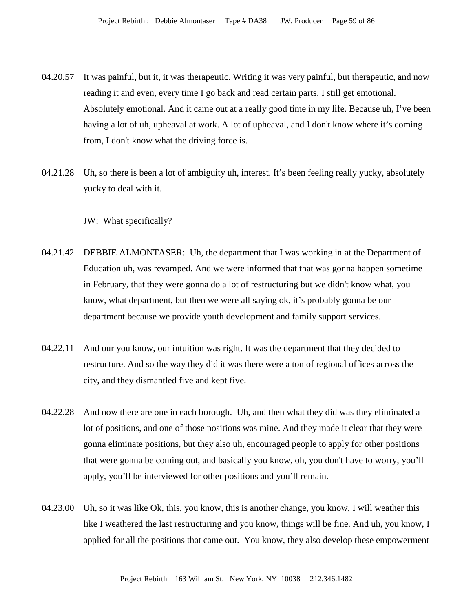- 04.20.57 It was painful, but it, it was therapeutic. Writing it was very painful, but therapeutic, and now reading it and even, every time I go back and read certain parts, I still get emotional. Absolutely emotional. And it came out at a really good time in my life. Because uh, I've been having a lot of uh, upheaval at work. A lot of upheaval, and I don't know where it's coming from, I don't know what the driving force is.
- 04.21.28 Uh, so there is been a lot of ambiguity uh, interest. It's been feeling really yucky, absolutely yucky to deal with it.

JW: What specifically?

- 04.21.42 DEBBIE ALMONTASER: Uh, the department that I was working in at the Department of Education uh, was revamped. And we were informed that that was gonna happen sometime in February, that they were gonna do a lot of restructuring but we didn't know what, you know, what department, but then we were all saying ok, it's probably gonna be our department because we provide youth development and family support services.
- 04.22.11 And our you know, our intuition was right. It was the department that they decided to restructure. And so the way they did it was there were a ton of regional offices across the city, and they dismantled five and kept five.
- 04.22.28 And now there are one in each borough. Uh, and then what they did was they eliminated a lot of positions, and one of those positions was mine. And they made it clear that they were gonna eliminate positions, but they also uh, encouraged people to apply for other positions that were gonna be coming out, and basically you know, oh, you don't have to worry, you'll apply, you'll be interviewed for other positions and you'll remain.
- 04.23.00 Uh, so it was like Ok, this, you know, this is another change, you know, I will weather this like I weathered the last restructuring and you know, things will be fine. And uh, you know, I applied for all the positions that came out. You know, they also develop these empowerment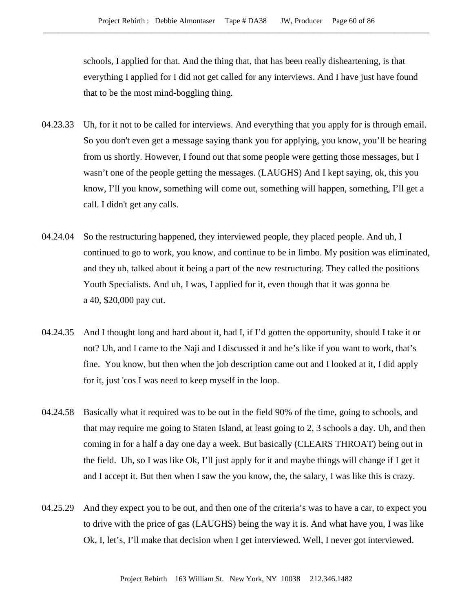schools, I applied for that. And the thing that, that has been really disheartening, is that everything I applied for I did not get called for any interviews. And I have just have found that to be the most mind-boggling thing.

- 04.23.33 Uh, for it not to be called for interviews. And everything that you apply for is through email. So you don't even get a message saying thank you for applying, you know, you'll be hearing from us shortly. However, I found out that some people were getting those messages, but I wasn't one of the people getting the messages. (LAUGHS) And I kept saying, ok, this you know, I'll you know, something will come out, something will happen, something, I'll get a call. I didn't get any calls.
- 04.24.04 So the restructuring happened, they interviewed people, they placed people. And uh, I continued to go to work, you know, and continue to be in limbo. My position was eliminated, and they uh, talked about it being a part of the new restructuring. They called the positions Youth Specialists. And uh, I was, I applied for it, even though that it was gonna be a 40, \$20,000 pay cut.
- 04.24.35 And I thought long and hard about it, had I, if I'd gotten the opportunity, should I take it or not? Uh, and I came to the Naji and I discussed it and he's like if you want to work, that's fine. You know, but then when the job description came out and I looked at it, I did apply for it, just 'cos I was need to keep myself in the loop.
- 04.24.58 Basically what it required was to be out in the field 90% of the time, going to schools, and that may require me going to Staten Island, at least going to 2, 3 schools a day. Uh, and then coming in for a half a day one day a week. But basically (CLEARS THROAT) being out in the field. Uh, so I was like Ok, I'll just apply for it and maybe things will change if I get it and I accept it. But then when I saw the you know, the, the salary, I was like this is crazy.
- 04.25.29 And they expect you to be out, and then one of the criteria's was to have a car, to expect you to drive with the price of gas (LAUGHS) being the way it is. And what have you, I was like Ok, I, let's, I'll make that decision when I get interviewed. Well, I never got interviewed.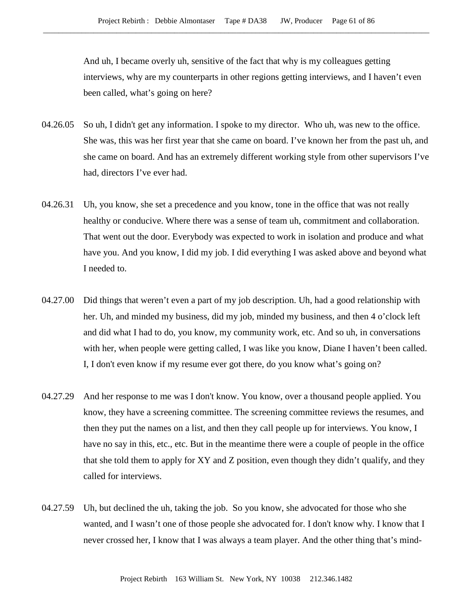And uh, I became overly uh, sensitive of the fact that why is my colleagues getting interviews, why are my counterparts in other regions getting interviews, and I haven't even been called, what's going on here?

- 04.26.05 So uh, I didn't get any information. I spoke to my director. Who uh, was new to the office. She was, this was her first year that she came on board. I've known her from the past uh, and she came on board. And has an extremely different working style from other supervisors I've had, directors I've ever had.
- 04.26.31 Uh, you know, she set a precedence and you know, tone in the office that was not really healthy or conducive. Where there was a sense of team uh, commitment and collaboration. That went out the door. Everybody was expected to work in isolation and produce and what have you. And you know, I did my job. I did everything I was asked above and beyond what I needed to.
- 04.27.00 Did things that weren't even a part of my job description. Uh, had a good relationship with her. Uh, and minded my business, did my job, minded my business, and then 4 o'clock left and did what I had to do, you know, my community work, etc. And so uh, in conversations with her, when people were getting called, I was like you know, Diane I haven't been called. I, I don't even know if my resume ever got there, do you know what's going on?
- 04.27.29 And her response to me was I don't know. You know, over a thousand people applied. You know, they have a screening committee. The screening committee reviews the resumes, and then they put the names on a list, and then they call people up for interviews. You know, I have no say in this, etc., etc. But in the meantime there were a couple of people in the office that she told them to apply for XY and Z position, even though they didn't qualify, and they called for interviews.
- 04.27.59 Uh, but declined the uh, taking the job. So you know, she advocated for those who she wanted, and I wasn't one of those people she advocated for. I don't know why. I know that I never crossed her, I know that I was always a team player. And the other thing that's mind-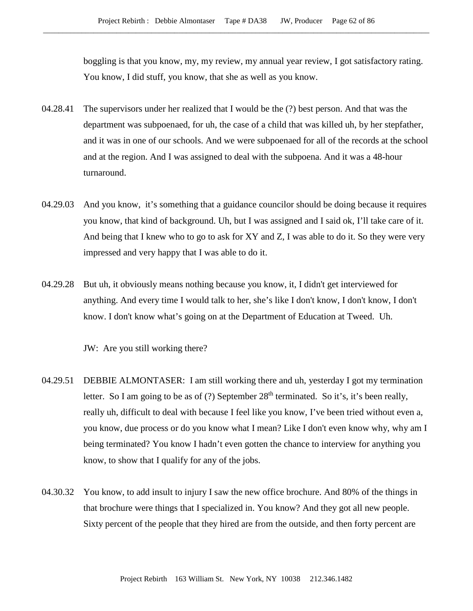boggling is that you know, my, my review, my annual year review, I got satisfactory rating. You know, I did stuff, you know, that she as well as you know.

- 04.28.41 The supervisors under her realized that I would be the (?) best person. And that was the department was subpoenaed, for uh, the case of a child that was killed uh, by her stepfather, and it was in one of our schools. And we were subpoenaed for all of the records at the school and at the region. And I was assigned to deal with the subpoena. And it was a 48-hour turnaround.
- 04.29.03 And you know, it's something that a guidance councilor should be doing because it requires you know, that kind of background. Uh, but I was assigned and I said ok, I'll take care of it. And being that I knew who to go to ask for XY and Z, I was able to do it. So they were very impressed and very happy that I was able to do it.
- 04.29.28 But uh, it obviously means nothing because you know, it, I didn't get interviewed for anything. And every time I would talk to her, she's like I don't know, I don't know, I don't know. I don't know what's going on at the Department of Education at Tweed. Uh.

JW: Are you still working there?

- 04.29.51 DEBBIE ALMONTASER: I am still working there and uh, yesterday I got my termination letter. So I am going to be as of (?) September  $28<sup>th</sup>$  terminated. So it's, it's been really, really uh, difficult to deal with because I feel like you know, I've been tried without even a, you know, due process or do you know what I mean? Like I don't even know why, why am I being terminated? You know I hadn't even gotten the chance to interview for anything you know, to show that I qualify for any of the jobs.
- 04.30.32 You know, to add insult to injury I saw the new office brochure. And 80% of the things in that brochure were things that I specialized in. You know? And they got all new people. Sixty percent of the people that they hired are from the outside, and then forty percent are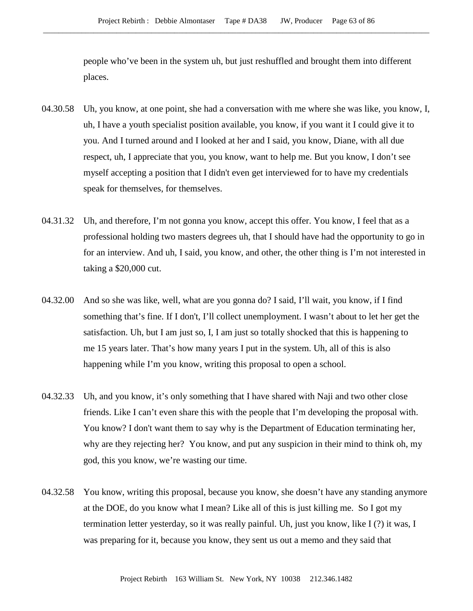people who've been in the system uh, but just reshuffled and brought them into different places.

- 04.30.58 Uh, you know, at one point, she had a conversation with me where she was like, you know, I, uh, I have a youth specialist position available, you know, if you want it I could give it to you. And I turned around and I looked at her and I said, you know, Diane, with all due respect, uh, I appreciate that you, you know, want to help me. But you know, I don't see myself accepting a position that I didn't even get interviewed for to have my credentials speak for themselves, for themselves.
- 04.31.32 Uh, and therefore, I'm not gonna you know, accept this offer. You know, I feel that as a professional holding two masters degrees uh, that I should have had the opportunity to go in for an interview. And uh, I said, you know, and other, the other thing is I'm not interested in taking a \$20,000 cut.
- 04.32.00 And so she was like, well, what are you gonna do? I said, I'll wait, you know, if I find something that's fine. If I don't, I'll collect unemployment. I wasn't about to let her get the satisfaction. Uh, but I am just so, I, I am just so totally shocked that this is happening to me 15 years later. That's how many years I put in the system. Uh, all of this is also happening while I'm you know, writing this proposal to open a school.
- 04.32.33 Uh, and you know, it's only something that I have shared with Naji and two other close friends. Like I can't even share this with the people that I'm developing the proposal with. You know? I don't want them to say why is the Department of Education terminating her, why are they rejecting her? You know, and put any suspicion in their mind to think oh, my god, this you know, we're wasting our time.
- 04.32.58 You know, writing this proposal, because you know, she doesn't have any standing anymore at the DOE, do you know what I mean? Like all of this is just killing me. So I got my termination letter yesterday, so it was really painful. Uh, just you know, like I (?) it was, I was preparing for it, because you know, they sent us out a memo and they said that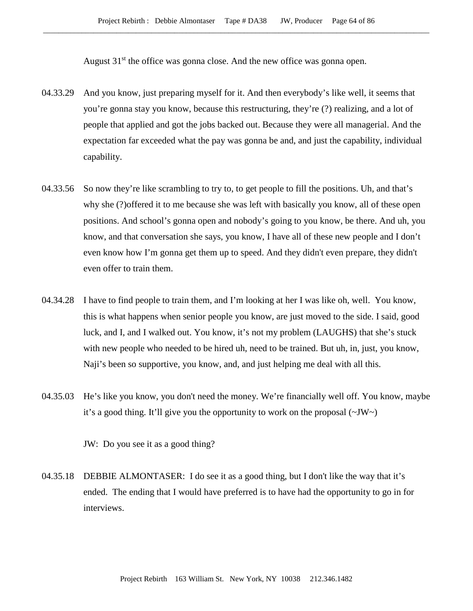August  $31<sup>st</sup>$  the office was gonna close. And the new office was gonna open.

- 04.33.29 And you know, just preparing myself for it. And then everybody's like well, it seems that you're gonna stay you know, because this restructuring, they're (?) realizing, and a lot of people that applied and got the jobs backed out. Because they were all managerial. And the expectation far exceeded what the pay was gonna be and, and just the capability, individual capability.
- 04.33.56 So now they're like scrambling to try to, to get people to fill the positions. Uh, and that's why she (?)offered it to me because she was left with basically you know, all of these open positions. And school's gonna open and nobody's going to you know, be there. And uh, you know, and that conversation she says, you know, I have all of these new people and I don't even know how I'm gonna get them up to speed. And they didn't even prepare, they didn't even offer to train them.
- 04.34.28 I have to find people to train them, and I'm looking at her I was like oh, well. You know, this is what happens when senior people you know, are just moved to the side. I said, good luck, and I, and I walked out. You know, it's not my problem (LAUGHS) that she's stuck with new people who needed to be hired uh, need to be trained. But uh, in, just, you know, Naji's been so supportive, you know, and, and just helping me deal with all this.
- 04.35.03 He's like you know, you don't need the money. We're financially well off. You know, maybe it's a good thing. It'll give you the opportunity to work on the proposal  $(\sim JW)$

JW: Do you see it as a good thing?

04.35.18 DEBBIE ALMONTASER: I do see it as a good thing, but I don't like the way that it's ended. The ending that I would have preferred is to have had the opportunity to go in for interviews.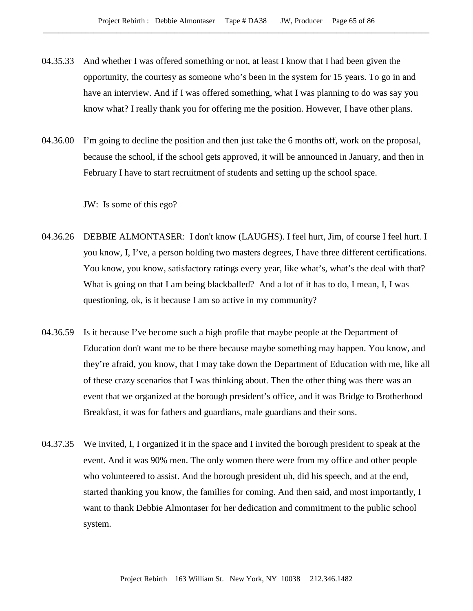- 04.35.33 And whether I was offered something or not, at least I know that I had been given the opportunity, the courtesy as someone who's been in the system for 15 years. To go in and have an interview. And if I was offered something, what I was planning to do was say you know what? I really thank you for offering me the position. However, I have other plans.
- 04.36.00 I'm going to decline the position and then just take the 6 months off, work on the proposal, because the school, if the school gets approved, it will be announced in January, and then in February I have to start recruitment of students and setting up the school space.

JW: Is some of this ego?

- 04.36.26 DEBBIE ALMONTASER: I don't know (LAUGHS). I feel hurt, Jim, of course I feel hurt. I you know, I, I've, a person holding two masters degrees, I have three different certifications. You know, you know, satisfactory ratings every year, like what's, what's the deal with that? What is going on that I am being blackballed? And a lot of it has to do, I mean, I, I was questioning, ok, is it because I am so active in my community?
- 04.36.59 Is it because I've become such a high profile that maybe people at the Department of Education don't want me to be there because maybe something may happen. You know, and they're afraid, you know, that I may take down the Department of Education with me, like all of these crazy scenarios that I was thinking about. Then the other thing was there was an event that we organized at the borough president's office, and it was Bridge to Brotherhood Breakfast, it was for fathers and guardians, male guardians and their sons.
- 04.37.35 We invited, I, I organized it in the space and I invited the borough president to speak at the event. And it was 90% men. The only women there were from my office and other people who volunteered to assist. And the borough president uh, did his speech, and at the end, started thanking you know, the families for coming. And then said, and most importantly, I want to thank Debbie Almontaser for her dedication and commitment to the public school system.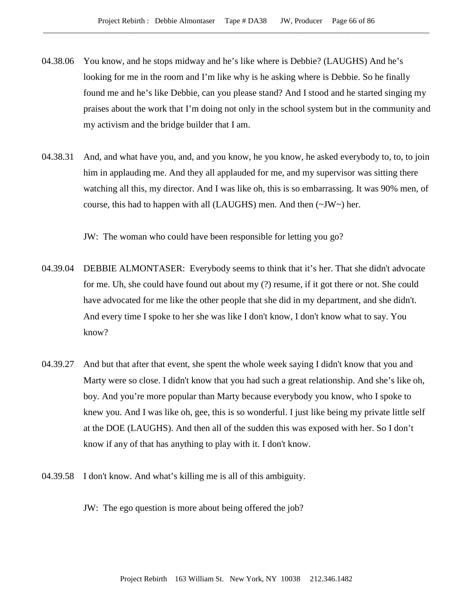- 04.38.06 You know, and he stops midway and he's like where is Debbie? (LAUGHS) And he's looking for me in the room and I'm like why is he asking where is Debbie. So he finally found me and he's like Debbie, can you please stand? And I stood and he started singing my praises about the work that I'm doing not only in the school system but in the community and my activism and the bridge builder that I am.
- 04.38.31 And, and what have you, and, and you know, he you know, he asked everybody to, to, to join him in applauding me. And they all applauded for me, and my supervisor was sitting there watching all this, my director. And I was like oh, this is so embarrassing. It was 90% men, of course, this had to happen with all (LAUGHS) men. And then  $(\sim JW)$  her.

JW: The woman who could have been responsible for letting you go?

- 04.39.04 DEBBIE ALMONTASER: Everybody seems to think that it's her. That she didn't advocate for me. Uh, she could have found out about my (?) resume, if it got there or not. She could have advocated for me like the other people that she did in my department, and she didn't. And every time I spoke to her she was like I don't know, I don't know what to say. You know?
- 04.39.27 And but that after that event, she spent the whole week saying I didn't know that you and Marty were so close. I didn't know that you had such a great relationship. And she's like oh, boy. And you're more popular than Marty because everybody you know, who I spoke to knew you. And I was like oh, gee, this is so wonderful. I just like being my private little self at the DOE (LAUGHS). And then all of the sudden this was exposed with her. So I don't know if any of that has anything to play with it. I don't know.
- 04.39.58 I don't know. And what's killing me is all of this ambiguity.
	- JW: The ego question is more about being offered the job?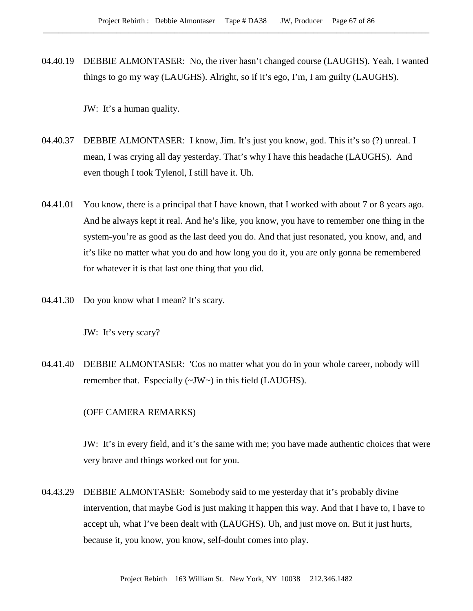04.40.19 DEBBIE ALMONTASER: No, the river hasn't changed course (LAUGHS). Yeah, I wanted things to go my way (LAUGHS). Alright, so if it's ego, I'm, I am guilty (LAUGHS).

JW: It's a human quality.

- 04.40.37 DEBBIE ALMONTASER: I know, Jim. It's just you know, god. This it's so (?) unreal. I mean, I was crying all day yesterday. That's why I have this headache (LAUGHS). And even though I took Tylenol, I still have it. Uh.
- 04.41.01 You know, there is a principal that I have known, that I worked with about 7 or 8 years ago. And he always kept it real. And he's like, you know, you have to remember one thing in the system-you're as good as the last deed you do. And that just resonated, you know, and, and it's like no matter what you do and how long you do it, you are only gonna be remembered for whatever it is that last one thing that you did.
- 04.41.30 Do you know what I mean? It's scary.

JW: It's very scary?

04.41.40 DEBBIE ALMONTASER: 'Cos no matter what you do in your whole career, nobody will remember that. Especially (~JW~) in this field (LAUGHS).

## (OFF CAMERA REMARKS)

JW: It's in every field, and it's the same with me; you have made authentic choices that were very brave and things worked out for you.

04.43.29 DEBBIE ALMONTASER: Somebody said to me yesterday that it's probably divine intervention, that maybe God is just making it happen this way. And that I have to, I have to accept uh, what I've been dealt with (LAUGHS). Uh, and just move on. But it just hurts, because it, you know, you know, self-doubt comes into play.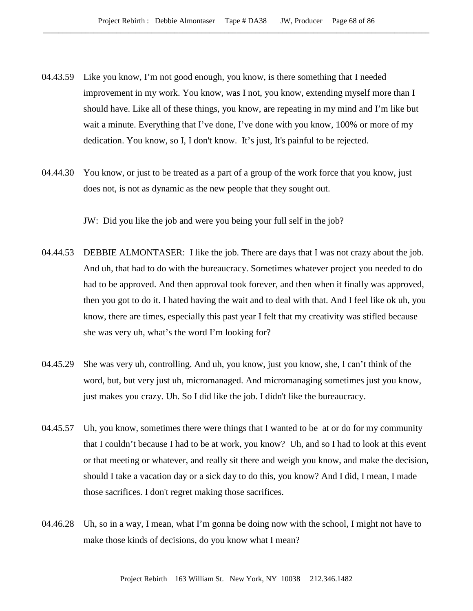- 04.43.59 Like you know, I'm not good enough, you know, is there something that I needed improvement in my work. You know, was I not, you know, extending myself more than I should have. Like all of these things, you know, are repeating in my mind and I'm like but wait a minute. Everything that I've done, I've done with you know, 100% or more of my dedication. You know, so I, I don't know. It's just, It's painful to be rejected.
- 04.44.30 You know, or just to be treated as a part of a group of the work force that you know, just does not, is not as dynamic as the new people that they sought out.

JW: Did you like the job and were you being your full self in the job?

- 04.44.53 DEBBIE ALMONTASER: I like the job. There are days that I was not crazy about the job. And uh, that had to do with the bureaucracy. Sometimes whatever project you needed to do had to be approved. And then approval took forever, and then when it finally was approved, then you got to do it. I hated having the wait and to deal with that. And I feel like ok uh, you know, there are times, especially this past year I felt that my creativity was stifled because she was very uh, what's the word I'm looking for?
- 04.45.29 She was very uh, controlling. And uh, you know, just you know, she, I can't think of the word, but, but very just uh, micromanaged. And micromanaging sometimes just you know, just makes you crazy. Uh. So I did like the job. I didn't like the bureaucracy.
- 04.45.57 Uh, you know, sometimes there were things that I wanted to be at or do for my community that I couldn't because I had to be at work, you know? Uh, and so I had to look at this event or that meeting or whatever, and really sit there and weigh you know, and make the decision, should I take a vacation day or a sick day to do this, you know? And I did, I mean, I made those sacrifices. I don't regret making those sacrifices.
- 04.46.28 Uh, so in a way, I mean, what I'm gonna be doing now with the school, I might not have to make those kinds of decisions, do you know what I mean?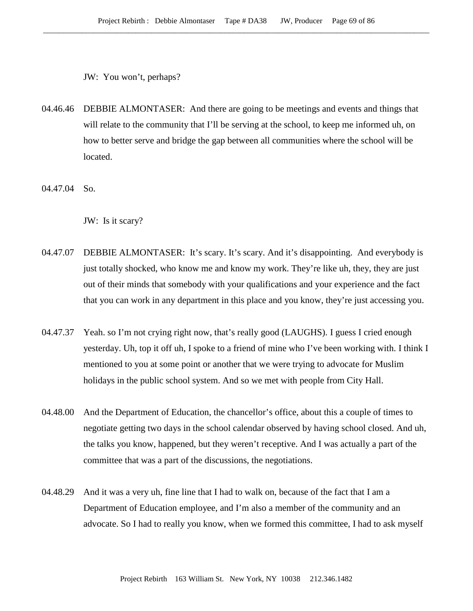JW: You won't, perhaps?

- 04.46.46 DEBBIE ALMONTASER: And there are going to be meetings and events and things that will relate to the community that I'll be serving at the school, to keep me informed uh, on how to better serve and bridge the gap between all communities where the school will be located.
- 04.47.04 So.

JW: Is it scary?

- 04.47.07 DEBBIE ALMONTASER: It's scary. It's scary. And it's disappointing. And everybody is just totally shocked, who know me and know my work. They're like uh, they, they are just out of their minds that somebody with your qualifications and your experience and the fact that you can work in any department in this place and you know, they're just accessing you.
- 04.47.37 Yeah. so I'm not crying right now, that's really good (LAUGHS). I guess I cried enough yesterday. Uh, top it off uh, I spoke to a friend of mine who I've been working with. I think I mentioned to you at some point or another that we were trying to advocate for Muslim holidays in the public school system. And so we met with people from City Hall.
- 04.48.00 And the Department of Education, the chancellor's office, about this a couple of times to negotiate getting two days in the school calendar observed by having school closed. And uh, the talks you know, happened, but they weren't receptive. And I was actually a part of the committee that was a part of the discussions, the negotiations.
- 04.48.29 And it was a very uh, fine line that I had to walk on, because of the fact that I am a Department of Education employee, and I'm also a member of the community and an advocate. So I had to really you know, when we formed this committee, I had to ask myself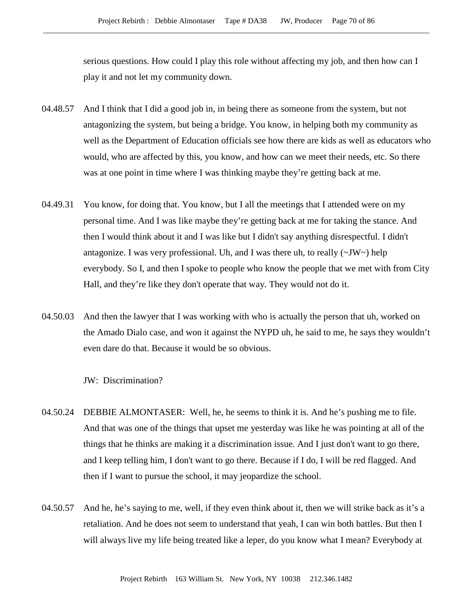serious questions. How could I play this role without affecting my job, and then how can I play it and not let my community down.

- 04.48.57 And I think that I did a good job in, in being there as someone from the system, but not antagonizing the system, but being a bridge. You know, in helping both my community as well as the Department of Education officials see how there are kids as well as educators who would, who are affected by this, you know, and how can we meet their needs, etc. So there was at one point in time where I was thinking maybe they're getting back at me.
- 04.49.31 You know, for doing that. You know, but I all the meetings that I attended were on my personal time. And I was like maybe they're getting back at me for taking the stance. And then I would think about it and I was like but I didn't say anything disrespectful. I didn't antagonize. I was very professional. Uh, and I was there uh, to really  $(\sim JW \sim)$  help everybody. So I, and then I spoke to people who know the people that we met with from City Hall, and they're like they don't operate that way. They would not do it.
- 04.50.03 And then the lawyer that I was working with who is actually the person that uh, worked on the Amado Dialo case, and won it against the NYPD uh, he said to me, he says they wouldn't even dare do that. Because it would be so obvious.

JW: Discrimination?

- 04.50.24 DEBBIE ALMONTASER: Well, he, he seems to think it is. And he's pushing me to file. And that was one of the things that upset me yesterday was like he was pointing at all of the things that he thinks are making it a discrimination issue. And I just don't want to go there, and I keep telling him, I don't want to go there. Because if I do, I will be red flagged. And then if I want to pursue the school, it may jeopardize the school.
- 04.50.57 And he, he's saying to me, well, if they even think about it, then we will strike back as it's a retaliation. And he does not seem to understand that yeah, I can win both battles. But then I will always live my life being treated like a leper, do you know what I mean? Everybody at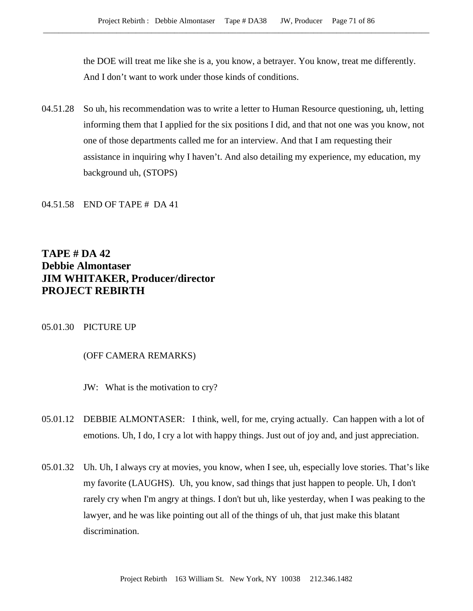the DOE will treat me like she is a, you know, a betrayer. You know, treat me differently. And I don't want to work under those kinds of conditions.

04.51.28 So uh, his recommendation was to write a letter to Human Resource questioning, uh, letting informing them that I applied for the six positions I did, and that not one was you know, not one of those departments called me for an interview. And that I am requesting their assistance in inquiring why I haven't. And also detailing my experience, my education, my background uh, (STOPS)

## 04.51.58 END OF TAPE # DA 41

# **TAPE # DA 42 Debbie Almontaser JIM WHITAKER, Producer/director PROJECT REBIRTH**

#### 05.01.30 PICTURE UP

## (OFF CAMERA REMARKS)

JW: What is the motivation to cry?

- 05.01.12 DEBBIE ALMONTASER: I think, well, for me, crying actually. Can happen with a lot of emotions. Uh, I do, I cry a lot with happy things. Just out of joy and, and just appreciation.
- 05.01.32 Uh. Uh, I always cry at movies, you know, when I see, uh, especially love stories. That's like my favorite (LAUGHS). Uh, you know, sad things that just happen to people. Uh, I don't rarely cry when I'm angry at things. I don't but uh, like yesterday, when I was peaking to the lawyer, and he was like pointing out all of the things of uh, that just make this blatant discrimination.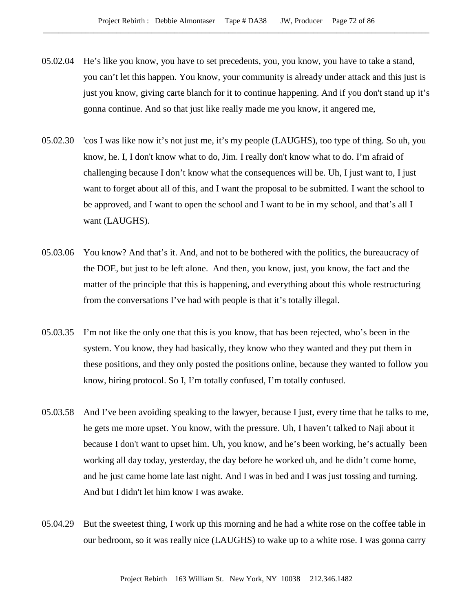- 05.02.04 He's like you know, you have to set precedents, you, you know, you have to take a stand, you can't let this happen. You know, your community is already under attack and this just is just you know, giving carte blanch for it to continue happening. And if you don't stand up it's gonna continue. And so that just like really made me you know, it angered me,
- 05.02.30 'cos I was like now it's not just me, it's my people (LAUGHS), too type of thing. So uh, you know, he. I, I don't know what to do, Jim. I really don't know what to do. I'm afraid of challenging because I don't know what the consequences will be. Uh, I just want to, I just want to forget about all of this, and I want the proposal to be submitted. I want the school to be approved, and I want to open the school and I want to be in my school, and that's all I want (LAUGHS).
- 05.03.06 You know? And that's it. And, and not to be bothered with the politics, the bureaucracy of the DOE, but just to be left alone. And then, you know, just, you know, the fact and the matter of the principle that this is happening, and everything about this whole restructuring from the conversations I've had with people is that it's totally illegal.
- 05.03.35 I'm not like the only one that this is you know, that has been rejected, who's been in the system. You know, they had basically, they know who they wanted and they put them in these positions, and they only posted the positions online, because they wanted to follow you know, hiring protocol. So I, I'm totally confused, I'm totally confused.
- 05.03.58 And I've been avoiding speaking to the lawyer, because I just, every time that he talks to me, he gets me more upset. You know, with the pressure. Uh, I haven't talked to Naji about it because I don't want to upset him. Uh, you know, and he's been working, he's actually been working all day today, yesterday, the day before he worked uh, and he didn't come home, and he just came home late last night. And I was in bed and I was just tossing and turning. And but I didn't let him know I was awake.
- 05.04.29 But the sweetest thing, I work up this morning and he had a white rose on the coffee table in our bedroom, so it was really nice (LAUGHS) to wake up to a white rose. I was gonna carry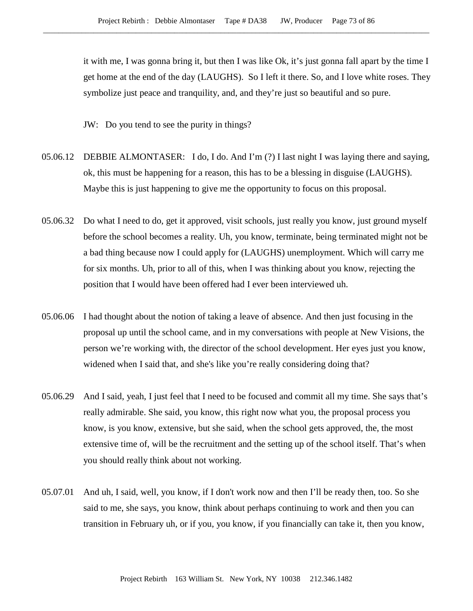it with me, I was gonna bring it, but then I was like Ok, it's just gonna fall apart by the time I get home at the end of the day (LAUGHS). So I left it there. So, and I love white roses. They symbolize just peace and tranquility, and, and they're just so beautiful and so pure.

JW: Do you tend to see the purity in things?

- 05.06.12 DEBBIE ALMONTASER: I do, I do. And I'm (?) I last night I was laying there and saying, ok, this must be happening for a reason, this has to be a blessing in disguise (LAUGHS). Maybe this is just happening to give me the opportunity to focus on this proposal.
- 05.06.32 Do what I need to do, get it approved, visit schools, just really you know, just ground myself before the school becomes a reality. Uh, you know, terminate, being terminated might not be a bad thing because now I could apply for (LAUGHS) unemployment. Which will carry me for six months. Uh, prior to all of this, when I was thinking about you know, rejecting the position that I would have been offered had I ever been interviewed uh.
- 05.06.06 I had thought about the notion of taking a leave of absence. And then just focusing in the proposal up until the school came, and in my conversations with people at New Visions, the person we're working with, the director of the school development. Her eyes just you know, widened when I said that, and she's like you're really considering doing that?
- 05.06.29 And I said, yeah, I just feel that I need to be focused and commit all my time. She says that's really admirable. She said, you know, this right now what you, the proposal process you know, is you know, extensive, but she said, when the school gets approved, the, the most extensive time of, will be the recruitment and the setting up of the school itself. That's when you should really think about not working.
- 05.07.01 And uh, I said, well, you know, if I don't work now and then I'll be ready then, too. So she said to me, she says, you know, think about perhaps continuing to work and then you can transition in February uh, or if you, you know, if you financially can take it, then you know,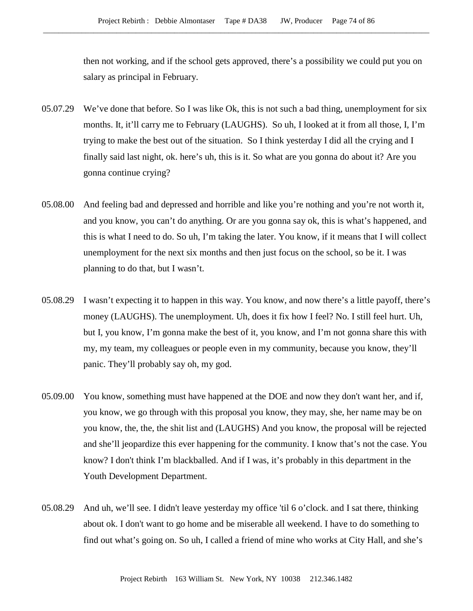then not working, and if the school gets approved, there's a possibility we could put you on salary as principal in February.

- 05.07.29 We've done that before. So I was like Ok, this is not such a bad thing, unemployment for six months. It, it'll carry me to February (LAUGHS). So uh, I looked at it from all those, I, I'm trying to make the best out of the situation. So I think yesterday I did all the crying and I finally said last night, ok. here's uh, this is it. So what are you gonna do about it? Are you gonna continue crying?
- 05.08.00 And feeling bad and depressed and horrible and like you're nothing and you're not worth it, and you know, you can't do anything. Or are you gonna say ok, this is what's happened, and this is what I need to do. So uh, I'm taking the later. You know, if it means that I will collect unemployment for the next six months and then just focus on the school, so be it. I was planning to do that, but I wasn't.
- 05.08.29 I wasn't expecting it to happen in this way. You know, and now there's a little payoff, there's money (LAUGHS). The unemployment. Uh, does it fix how I feel? No. I still feel hurt. Uh, but I, you know, I'm gonna make the best of it, you know, and I'm not gonna share this with my, my team, my colleagues or people even in my community, because you know, they'll panic. They'll probably say oh, my god.
- 05.09.00 You know, something must have happened at the DOE and now they don't want her, and if, you know, we go through with this proposal you know, they may, she, her name may be on you know, the, the, the shit list and (LAUGHS) And you know, the proposal will be rejected and she'll jeopardize this ever happening for the community. I know that's not the case. You know? I don't think I'm blackballed. And if I was, it's probably in this department in the Youth Development Department.
- 05.08.29 And uh, we'll see. I didn't leave yesterday my office 'til 6 o'clock. and I sat there, thinking about ok. I don't want to go home and be miserable all weekend. I have to do something to find out what's going on. So uh, I called a friend of mine who works at City Hall, and she's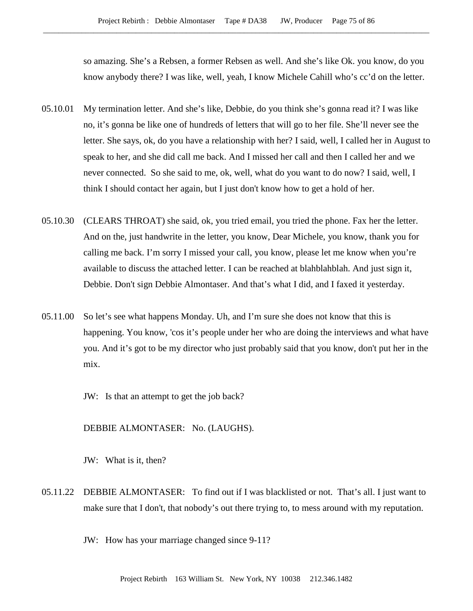so amazing. She's a Rebsen, a former Rebsen as well. And she's like Ok. you know, do you know anybody there? I was like, well, yeah, I know Michele Cahill who's cc'd on the letter.

- 05.10.01 My termination letter. And she's like, Debbie, do you think she's gonna read it? I was like no, it's gonna be like one of hundreds of letters that will go to her file. She'll never see the letter. She says, ok, do you have a relationship with her? I said, well, I called her in August to speak to her, and she did call me back. And I missed her call and then I called her and we never connected. So she said to me, ok, well, what do you want to do now? I said, well, I think I should contact her again, but I just don't know how to get a hold of her.
- 05.10.30 (CLEARS THROAT) she said, ok, you tried email, you tried the phone. Fax her the letter. And on the, just handwrite in the letter, you know, Dear Michele, you know, thank you for calling me back. I'm sorry I missed your call, you know, please let me know when you're available to discuss the attached letter. I can be reached at blahblahblah. And just sign it, Debbie. Don't sign Debbie Almontaser. And that's what I did, and I faxed it yesterday.
- 05.11.00 So let's see what happens Monday. Uh, and I'm sure she does not know that this is happening. You know, 'cos it's people under her who are doing the interviews and what have you. And it's got to be my director who just probably said that you know, don't put her in the mix.
	- JW: Is that an attempt to get the job back?

DEBBIE ALMONTASER: No. (LAUGHS).

JW: What is it, then?

05.11.22 DEBBIE ALMONTASER: To find out if I was blacklisted or not. That's all. I just want to make sure that I don't, that nobody's out there trying to, to mess around with my reputation.

JW: How has your marriage changed since 9-11?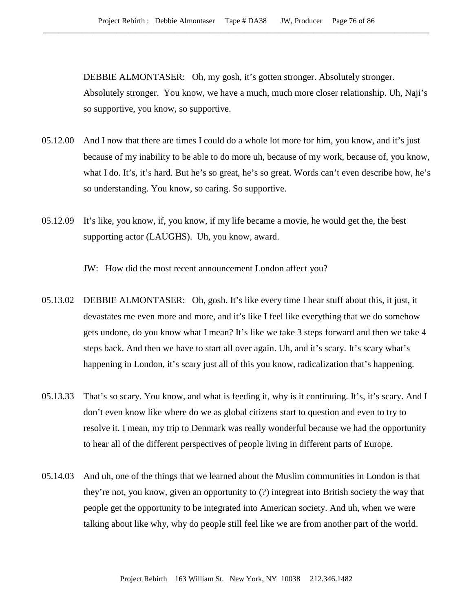DEBBIE ALMONTASER: Oh, my gosh, it's gotten stronger. Absolutely stronger. Absolutely stronger. You know, we have a much, much more closer relationship. Uh, Naji's so supportive, you know, so supportive.

- 05.12.00 And I now that there are times I could do a whole lot more for him, you know, and it's just because of my inability to be able to do more uh, because of my work, because of, you know, what I do. It's, it's hard. But he's so great, he's so great. Words can't even describe how, he's so understanding. You know, so caring. So supportive.
- 05.12.09 It's like, you know, if, you know, if my life became a movie, he would get the, the best supporting actor (LAUGHS). Uh, you know, award.

JW: How did the most recent announcement London affect you?

- 05.13.02 DEBBIE ALMONTASER: Oh, gosh. It's like every time I hear stuff about this, it just, it devastates me even more and more, and it's like I feel like everything that we do somehow gets undone, do you know what I mean? It's like we take 3 steps forward and then we take 4 steps back. And then we have to start all over again. Uh, and it's scary. It's scary what's happening in London, it's scary just all of this you know, radicalization that's happening.
- 05.13.33 That's so scary. You know, and what is feeding it, why is it continuing. It's, it's scary. And I don't even know like where do we as global citizens start to question and even to try to resolve it. I mean, my trip to Denmark was really wonderful because we had the opportunity to hear all of the different perspectives of people living in different parts of Europe.
- 05.14.03 And uh, one of the things that we learned about the Muslim communities in London is that they're not, you know, given an opportunity to (?) integreat into British society the way that people get the opportunity to be integrated into American society. And uh, when we were talking about like why, why do people still feel like we are from another part of the world.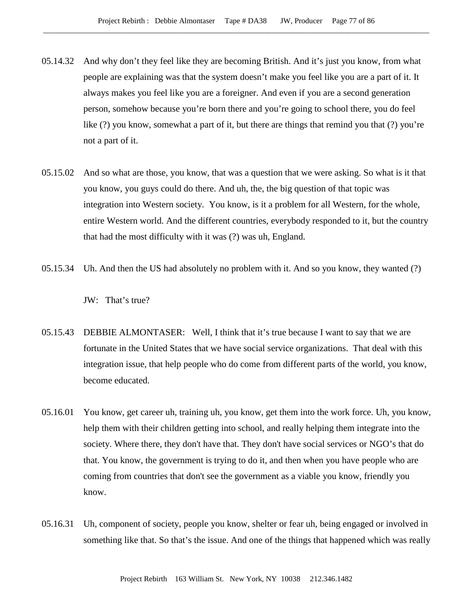- 05.14.32 And why don't they feel like they are becoming British. And it's just you know, from what people are explaining was that the system doesn't make you feel like you are a part of it. It always makes you feel like you are a foreigner. And even if you are a second generation person, somehow because you're born there and you're going to school there, you do feel like (?) you know, somewhat a part of it, but there are things that remind you that (?) you're not a part of it.
- 05.15.02 And so what are those, you know, that was a question that we were asking. So what is it that you know, you guys could do there. And uh, the, the big question of that topic was integration into Western society. You know, is it a problem for all Western, for the whole, entire Western world. And the different countries, everybody responded to it, but the country that had the most difficulty with it was (?) was uh, England.
- 05.15.34 Uh. And then the US had absolutely no problem with it. And so you know, they wanted (?)

JW: That's true?

- 05.15.43 DEBBIE ALMONTASER: Well, I think that it's true because I want to say that we are fortunate in the United States that we have social service organizations. That deal with this integration issue, that help people who do come from different parts of the world, you know, become educated.
- 05.16.01 You know, get career uh, training uh, you know, get them into the work force. Uh, you know, help them with their children getting into school, and really helping them integrate into the society. Where there, they don't have that. They don't have social services or NGO's that do that. You know, the government is trying to do it, and then when you have people who are coming from countries that don't see the government as a viable you know, friendly you know.
- 05.16.31 Uh, component of society, people you know, shelter or fear uh, being engaged or involved in something like that. So that's the issue. And one of the things that happened which was really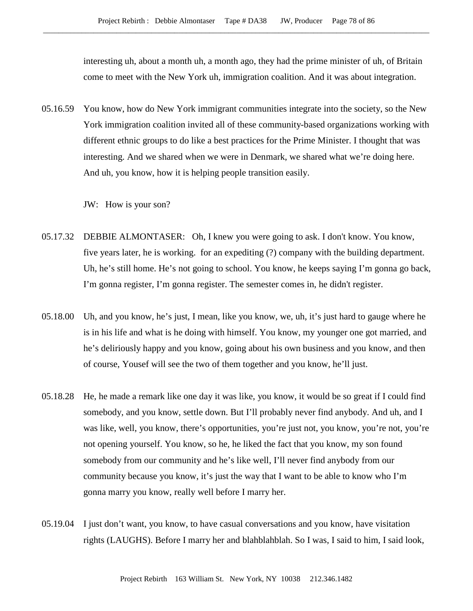interesting uh, about a month uh, a month ago, they had the prime minister of uh, of Britain come to meet with the New York uh, immigration coalition. And it was about integration.

05.16.59 You know, how do New York immigrant communities integrate into the society, so the New York immigration coalition invited all of these community-based organizations working with different ethnic groups to do like a best practices for the Prime Minister. I thought that was interesting. And we shared when we were in Denmark, we shared what we're doing here. And uh, you know, how it is helping people transition easily.

JW: How is your son?

- 05.17.32 DEBBIE ALMONTASER: Oh, I knew you were going to ask. I don't know. You know, five years later, he is working. for an expediting (?) company with the building department. Uh, he's still home. He's not going to school. You know, he keeps saying I'm gonna go back, I'm gonna register, I'm gonna register. The semester comes in, he didn't register.
- 05.18.00 Uh, and you know, he's just, I mean, like you know, we, uh, it's just hard to gauge where he is in his life and what is he doing with himself. You know, my younger one got married, and he's deliriously happy and you know, going about his own business and you know, and then of course, Yousef will see the two of them together and you know, he'll just.
- 05.18.28 He, he made a remark like one day it was like, you know, it would be so great if I could find somebody, and you know, settle down. But I'll probably never find anybody. And uh, and I was like, well, you know, there's opportunities, you're just not, you know, you're not, you're not opening yourself. You know, so he, he liked the fact that you know, my son found somebody from our community and he's like well, I'll never find anybody from our community because you know, it's just the way that I want to be able to know who I'm gonna marry you know, really well before I marry her.
- 05.19.04 I just don't want, you know, to have casual conversations and you know, have visitation rights (LAUGHS). Before I marry her and blahblahblah. So I was, I said to him, I said look,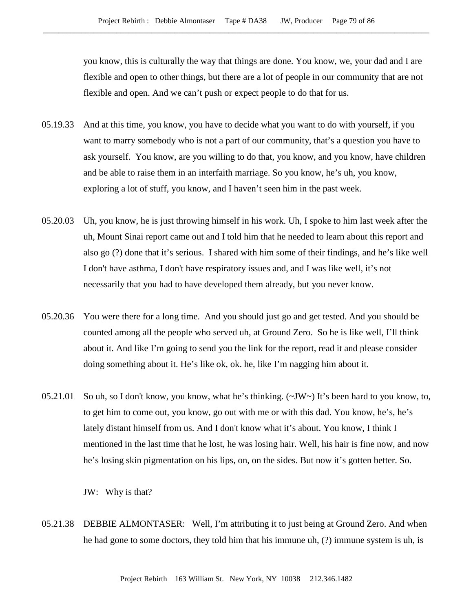you know, this is culturally the way that things are done. You know, we, your dad and I are flexible and open to other things, but there are a lot of people in our community that are not flexible and open. And we can't push or expect people to do that for us.

- 05.19.33 And at this time, you know, you have to decide what you want to do with yourself, if you want to marry somebody who is not a part of our community, that's a question you have to ask yourself. You know, are you willing to do that, you know, and you know, have children and be able to raise them in an interfaith marriage. So you know, he's uh, you know, exploring a lot of stuff, you know, and I haven't seen him in the past week.
- 05.20.03 Uh, you know, he is just throwing himself in his work. Uh, I spoke to him last week after the uh, Mount Sinai report came out and I told him that he needed to learn about this report and also go (?) done that it's serious. I shared with him some of their findings, and he's like well I don't have asthma, I don't have respiratory issues and, and I was like well, it's not necessarily that you had to have developed them already, but you never know.
- 05.20.36 You were there for a long time. And you should just go and get tested. And you should be counted among all the people who served uh, at Ground Zero. So he is like well, I'll think about it. And like I'm going to send you the link for the report, read it and please consider doing something about it. He's like ok, ok. he, like I'm nagging him about it.
- 05.21.01 So uh, so I don't know, you know, what he's thinking. (~JW~) It's been hard to you know, to, to get him to come out, you know, go out with me or with this dad. You know, he's, he's lately distant himself from us. And I don't know what it's about. You know, I think I mentioned in the last time that he lost, he was losing hair. Well, his hair is fine now, and now he's losing skin pigmentation on his lips, on, on the sides. But now it's gotten better. So.

JW: Why is that?

05.21.38 DEBBIE ALMONTASER: Well, I'm attributing it to just being at Ground Zero. And when he had gone to some doctors, they told him that his immune uh, (?) immune system is uh, is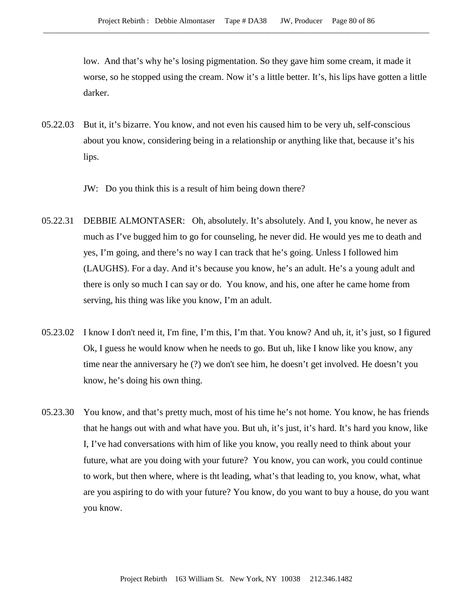low. And that's why he's losing pigmentation. So they gave him some cream, it made it worse, so he stopped using the cream. Now it's a little better. It's, his lips have gotten a little darker.

- 05.22.03 But it, it's bizarre. You know, and not even his caused him to be very uh, self-conscious about you know, considering being in a relationship or anything like that, because it's his lips.
	- JW: Do you think this is a result of him being down there?
- 05.22.31 DEBBIE ALMONTASER: Oh, absolutely. It's absolutely. And I, you know, he never as much as I've bugged him to go for counseling, he never did. He would yes me to death and yes, I'm going, and there's no way I can track that he's going. Unless I followed him (LAUGHS). For a day. And it's because you know, he's an adult. He's a young adult and there is only so much I can say or do. You know, and his, one after he came home from serving, his thing was like you know, I'm an adult.
- 05.23.02 I know I don't need it, I'm fine, I'm this, I'm that. You know? And uh, it, it's just, so I figured Ok, I guess he would know when he needs to go. But uh, like I know like you know, any time near the anniversary he (?) we don't see him, he doesn't get involved. He doesn't you know, he's doing his own thing.
- 05.23.30 You know, and that's pretty much, most of his time he's not home. You know, he has friends that he hangs out with and what have you. But uh, it's just, it's hard. It's hard you know, like I, I've had conversations with him of like you know, you really need to think about your future, what are you doing with your future? You know, you can work, you could continue to work, but then where, where is tht leading, what's that leading to, you know, what, what are you aspiring to do with your future? You know, do you want to buy a house, do you want you know.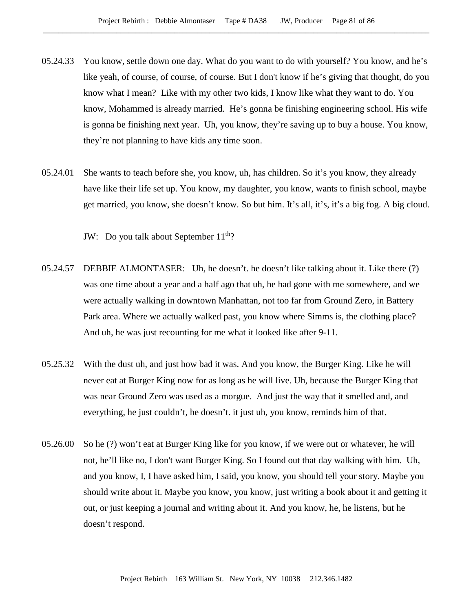- 05.24.33 You know, settle down one day. What do you want to do with yourself? You know, and he's like yeah, of course, of course, of course. But I don't know if he's giving that thought, do you know what I mean? Like with my other two kids, I know like what they want to do. You know, Mohammed is already married. He's gonna be finishing engineering school. His wife is gonna be finishing next year. Uh, you know, they're saving up to buy a house. You know, they're not planning to have kids any time soon.
- 05.24.01 She wants to teach before she, you know, uh, has children. So it's you know, they already have like their life set up. You know, my daughter, you know, wants to finish school, maybe get married, you know, she doesn't know. So but him. It's all, it's, it's a big fog. A big cloud.

JW: Do you talk about September 11<sup>th</sup>?

- 05.24.57 DEBBIE ALMONTASER: Uh, he doesn't. he doesn't like talking about it. Like there (?) was one time about a year and a half ago that uh, he had gone with me somewhere, and we were actually walking in downtown Manhattan, not too far from Ground Zero, in Battery Park area. Where we actually walked past, you know where Simms is, the clothing place? And uh, he was just recounting for me what it looked like after 9-11.
- 05.25.32 With the dust uh, and just how bad it was. And you know, the Burger King. Like he will never eat at Burger King now for as long as he will live. Uh, because the Burger King that was near Ground Zero was used as a morgue. And just the way that it smelled and, and everything, he just couldn't, he doesn't. it just uh, you know, reminds him of that.
- 05.26.00 So he (?) won't eat at Burger King like for you know, if we were out or whatever, he will not, he'll like no, I don't want Burger King. So I found out that day walking with him. Uh, and you know, I, I have asked him, I said, you know, you should tell your story. Maybe you should write about it. Maybe you know, you know, just writing a book about it and getting it out, or just keeping a journal and writing about it. And you know, he, he listens, but he doesn't respond.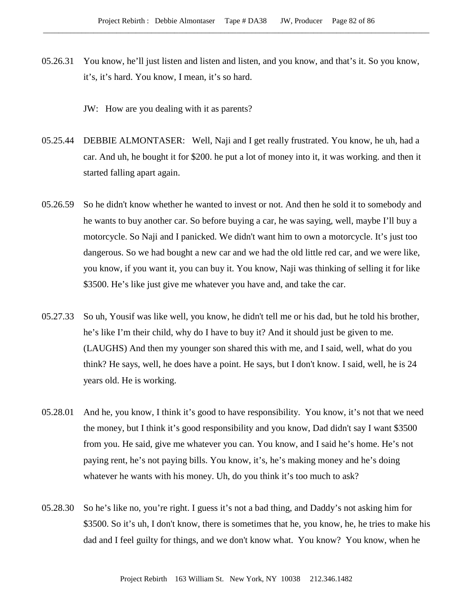05.26.31 You know, he'll just listen and listen and listen, and you know, and that's it. So you know, it's, it's hard. You know, I mean, it's so hard.

JW: How are you dealing with it as parents?

- 05.25.44 DEBBIE ALMONTASER: Well, Naji and I get really frustrated. You know, he uh, had a car. And uh, he bought it for \$200. he put a lot of money into it, it was working. and then it started falling apart again.
- 05.26.59 So he didn't know whether he wanted to invest or not. And then he sold it to somebody and he wants to buy another car. So before buying a car, he was saying, well, maybe I'll buy a motorcycle. So Naji and I panicked. We didn't want him to own a motorcycle. It's just too dangerous. So we had bought a new car and we had the old little red car, and we were like, you know, if you want it, you can buy it. You know, Naji was thinking of selling it for like \$3500. He's like just give me whatever you have and, and take the car.
- 05.27.33 So uh, Yousif was like well, you know, he didn't tell me or his dad, but he told his brother, he's like I'm their child, why do I have to buy it? And it should just be given to me. (LAUGHS) And then my younger son shared this with me, and I said, well, what do you think? He says, well, he does have a point. He says, but I don't know. I said, well, he is 24 years old. He is working.
- 05.28.01 And he, you know, I think it's good to have responsibility. You know, it's not that we need the money, but I think it's good responsibility and you know, Dad didn't say I want \$3500 from you. He said, give me whatever you can. You know, and I said he's home. He's not paying rent, he's not paying bills. You know, it's, he's making money and he's doing whatever he wants with his money. Uh, do you think it's too much to ask?
- 05.28.30 So he's like no, you're right. I guess it's not a bad thing, and Daddy's not asking him for \$3500. So it's uh, I don't know, there is sometimes that he, you know, he, he tries to make his dad and I feel guilty for things, and we don't know what. You know? You know, when he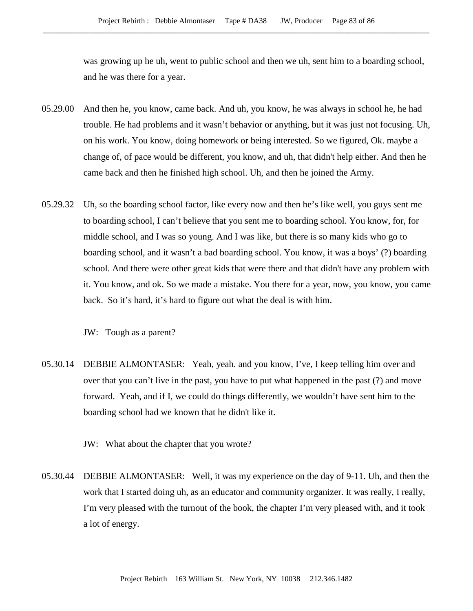was growing up he uh, went to public school and then we uh, sent him to a boarding school, and he was there for a year.

- 05.29.00 And then he, you know, came back. And uh, you know, he was always in school he, he had trouble. He had problems and it wasn't behavior or anything, but it was just not focusing. Uh, on his work. You know, doing homework or being interested. So we figured, Ok. maybe a change of, of pace would be different, you know, and uh, that didn't help either. And then he came back and then he finished high school. Uh, and then he joined the Army.
- 05.29.32 Uh, so the boarding school factor, like every now and then he's like well, you guys sent me to boarding school, I can't believe that you sent me to boarding school. You know, for, for middle school, and I was so young. And I was like, but there is so many kids who go to boarding school, and it wasn't a bad boarding school. You know, it was a boys' (?) boarding school. And there were other great kids that were there and that didn't have any problem with it. You know, and ok. So we made a mistake. You there for a year, now, you know, you came back. So it's hard, it's hard to figure out what the deal is with him.

JW: Tough as a parent?

- 05.30.14 DEBBIE ALMONTASER: Yeah, yeah. and you know, I've, I keep telling him over and over that you can't live in the past, you have to put what happened in the past (?) and move forward. Yeah, and if I, we could do things differently, we wouldn't have sent him to the boarding school had we known that he didn't like it.
	- JW: What about the chapter that you wrote?
- 05.30.44 DEBBIE ALMONTASER: Well, it was my experience on the day of 9-11. Uh, and then the work that I started doing uh, as an educator and community organizer. It was really, I really, I'm very pleased with the turnout of the book, the chapter I'm very pleased with, and it took a lot of energy.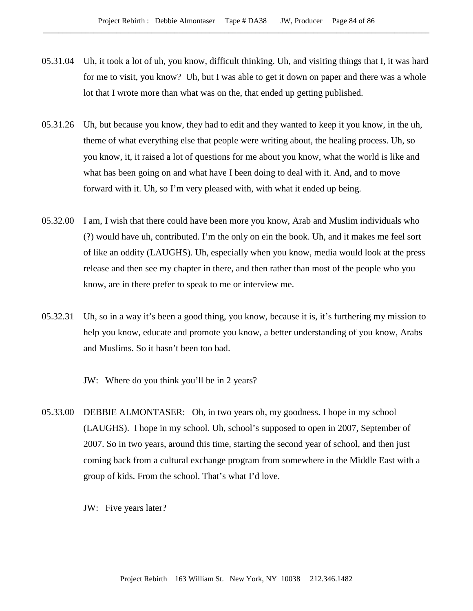- 05.31.04 Uh, it took a lot of uh, you know, difficult thinking. Uh, and visiting things that I, it was hard for me to visit, you know? Uh, but I was able to get it down on paper and there was a whole lot that I wrote more than what was on the, that ended up getting published.
- 05.31.26 Uh, but because you know, they had to edit and they wanted to keep it you know, in the uh, theme of what everything else that people were writing about, the healing process. Uh, so you know, it, it raised a lot of questions for me about you know, what the world is like and what has been going on and what have I been doing to deal with it. And, and to move forward with it. Uh, so I'm very pleased with, with what it ended up being.
- 05.32.00 I am, I wish that there could have been more you know, Arab and Muslim individuals who (?) would have uh, contributed. I'm the only on ein the book. Uh, and it makes me feel sort of like an oddity (LAUGHS). Uh, especially when you know, media would look at the press release and then see my chapter in there, and then rather than most of the people who you know, are in there prefer to speak to me or interview me.
- 05.32.31 Uh, so in a way it's been a good thing, you know, because it is, it's furthering my mission to help you know, educate and promote you know, a better understanding of you know, Arabs and Muslims. So it hasn't been too bad.
	- JW: Where do you think you'll be in 2 years?
- 05.33.00 DEBBIE ALMONTASER: Oh, in two years oh, my goodness. I hope in my school (LAUGHS). I hope in my school. Uh, school's supposed to open in 2007, September of 2007. So in two years, around this time, starting the second year of school, and then just coming back from a cultural exchange program from somewhere in the Middle East with a group of kids. From the school. That's what I'd love.
	- JW: Five years later?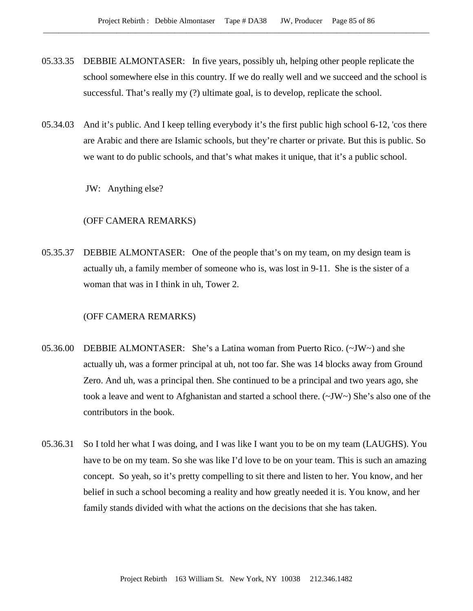- 05.33.35 DEBBIE ALMONTASER: In five years, possibly uh, helping other people replicate the school somewhere else in this country. If we do really well and we succeed and the school is successful. That's really my (?) ultimate goal, is to develop, replicate the school.
- 05.34.03 And it's public. And I keep telling everybody it's the first public high school 6-12, 'cos there are Arabic and there are Islamic schools, but they're charter or private. But this is public. So we want to do public schools, and that's what makes it unique, that it's a public school.

JW: Anything else?

## (OFF CAMERA REMARKS)

05.35.37 DEBBIE ALMONTASER: One of the people that's on my team, on my design team is actually uh, a family member of someone who is, was lost in 9-11. She is the sister of a woman that was in I think in uh, Tower 2.

## (OFF CAMERA REMARKS)

- 05.36.00 DEBBIE ALMONTASER: She's a Latina woman from Puerto Rico. (~JW~) and she actually uh, was a former principal at uh, not too far. She was 14 blocks away from Ground Zero. And uh, was a principal then. She continued to be a principal and two years ago, she took a leave and went to Afghanistan and started a school there. (~JW~) She's also one of the contributors in the book.
- 05.36.31 So I told her what I was doing, and I was like I want you to be on my team (LAUGHS). You have to be on my team. So she was like I'd love to be on your team. This is such an amazing concept. So yeah, so it's pretty compelling to sit there and listen to her. You know, and her belief in such a school becoming a reality and how greatly needed it is. You know, and her family stands divided with what the actions on the decisions that she has taken.